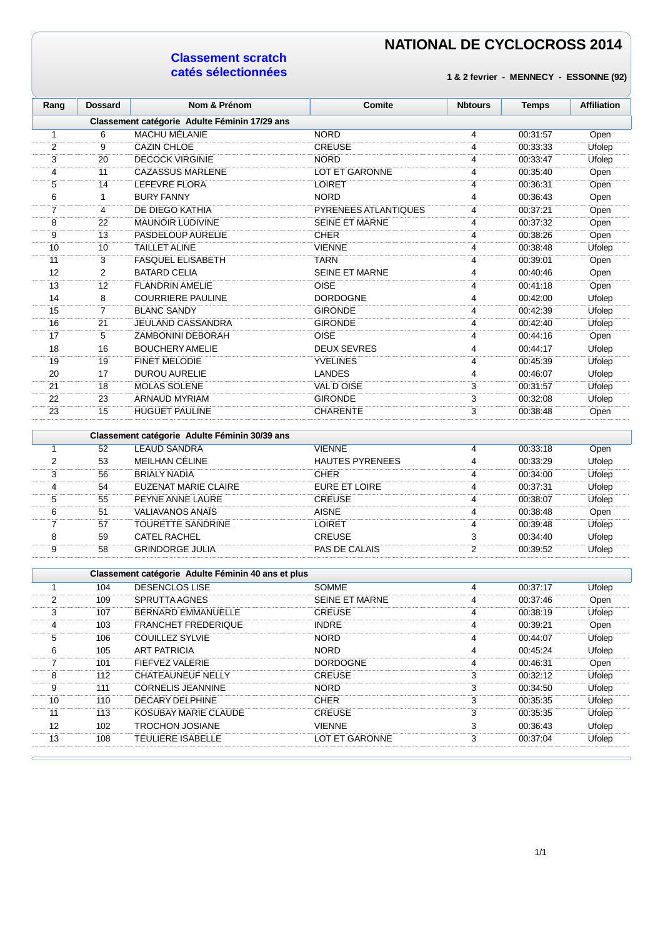#### **Classement scratch catés sélectionnées**

| Rang                    | <b>Dossard</b> | Nom & Prénom                                       | Comite                 | <b>Nbtours</b> | <b>Temps</b> | <b>Affiliation</b> |
|-------------------------|----------------|----------------------------------------------------|------------------------|----------------|--------------|--------------------|
|                         |                | Classement catégorie Adulte Féminin 17/29 ans      |                        |                |              |                    |
| 1                       | 6              | <b>MACHU MÉLANIE</b>                               | <b>NORD</b>            | 4              | 00:31:57     | Open               |
| $\overline{2}$          | 9              | <b>CAZIN CHLOE</b>                                 | <b>CREUSE</b>          | $\overline{4}$ | 00:33:33     | Ufolep             |
| 3                       | 20             | <b>DECOCK VIRGINIE</b>                             | <b>NORD</b>            | $\overline{4}$ | 00:33:47     | Ufolep             |
| 4                       | 11             | <b>CAZASSUS MARLENE</b>                            | <b>LOT ET GARONNE</b>  | 4              | 00:35:40     | Open               |
| 5                       | 14             | LEFEVRE FLORA                                      | <b>LOIRET</b>          | 4              | 00:36:31     | Open               |
| 6                       | $\mathbf{1}$   | <b>BURY FANNY</b>                                  | <b>NORD</b>            | 4              | 00:36:43     | Open               |
| 7                       | 4              | DE DIEGO KATHIA                                    | PYRENEES ATLANTIQUES   | 4              | 00:37:21     | Open               |
| 8                       | 22             | <b>MAUNOIR LUDIVINE</b>                            | <b>SEINE ET MARNE</b>  | 4              | 00:37:32     | Open               |
| 9                       | 13             | PASDELOUP AURELIE                                  | <b>CHER</b>            | 4              | 00:38:26     | Open               |
| 10                      | 10             | <b>TAILLET ALINE</b>                               | <b>VIENNE</b>          | 4              | 00:38:48     | Ufolep             |
| 11                      | 3              | <b>FASQUEL ELISABETH</b>                           | <b>TARN</b>            | $\overline{4}$ | 00:39:01     | Open               |
| 12                      | 2              | <b>BATARD CELIA</b>                                | <b>SEINE ET MARNE</b>  | 4              | 00:40:46     | Open               |
| 13                      | 12             | <b>FLANDRIN AMELIE</b>                             | OISE                   | $\overline{4}$ | 00:41:18     | Open               |
| 14                      | 8              | <b>COURRIERE PAULINE</b>                           | <b>DORDOGNE</b>        | 4              | 00:42:00     | Ufolep             |
| 15                      | $\overline{7}$ | <b>BLANC SANDY</b>                                 | <b>GIRONDE</b>         | $\overline{4}$ | 00:42:39     | Ufolep             |
| 16                      | 21             | JEULAND CASSANDRA                                  | <b>GIRONDE</b>         | $\overline{4}$ | 00:42:40     | Ufolep             |
| 17                      | 5              | ZAMBONINI DEBORAH                                  | <b>OISE</b>            | 4              | 00:44:16     | Open               |
| 18                      | 16             | <b>BOUCHERY AMELIE</b>                             | <b>DEUX SEVRES</b>     | 4              | 00:44:17     | Ufolep             |
| 19                      | 19             | <b>FINET MELODIE</b>                               | <b>YVELINES</b>        | 4              | 00:45:39     | Ufolep             |
| 20                      | 17             | <b>DUROU AURELIE</b>                               | <b>LANDES</b>          | 4              | 00:46:07     | Ufolep             |
| 21                      | 18             | <b>MOLAS SOLENE</b>                                | VAL D OISE             | 3              | 00:31:57     | Ufolep             |
| 22                      | 23             | ARNAUD MYRIAM                                      | <b>GIRONDE</b>         | 3              | 00:32:08     | Ufolep             |
| 23                      | 15             | <b>HUGUET PAULINE</b>                              | <b>CHARENTE</b>        | 3              | 00:38:48     | Open               |
|                         |                | Classement catégorie Adulte Féminin 30/39 ans      |                        |                |              |                    |
| 1                       | 52             | <b>LEAUD SANDRA</b>                                | <b>VIENNE</b>          | 4              | 00:33:18     | Open               |
| $\overline{\mathbf{c}}$ | 53             | MEILHAN CÉLINE                                     | <b>HAUTES PYRENEES</b> | 4              | 00:33:29     | Ufolep             |
| 3                       | 56             | <b>BRIALY NADIA</b>                                | <b>CHER</b>            | $\overline{4}$ | 00:34:00     | Ufolep             |
| 4                       | 54             | EUZENAT MARIE CLAIRE                               | <b>EURE ET LOIRE</b>   | 4              | 00:37:31     | Ufolep             |
| 5                       | 55             | PEYNE ANNE LAURE                                   | <b>CREUSE</b>          | $\overline{4}$ | 00:38:07     | Ufolep             |
| 6                       | 51             | <b>VALIAVANOS ANAÏS</b>                            | <b>AISNE</b>           | 4              | 00:38:48     | Open               |
| $\overline{7}$          | 57             | TOURETTE SANDRINE                                  | <b>LOIRET</b>          | 4              | 00:39:48     | Ufolep             |
| 8                       | 59             | <b>CATEL RACHEL</b>                                | <b>CREUSE</b>          | 3              | 00:34:40     | Ufolep             |
| 9                       | 58             | <b>GRINDORGE JULIA</b>                             | PAS DE CALAIS          | $\overline{2}$ | 00:39:52     | Ufolep             |
|                         |                | Classement catégorie Adulte Féminin 40 ans et plus |                        |                |              |                    |
| 1                       | 104            | <b>DESENCLOS LISE</b>                              | <b>SOMME</b>           | 4              | 00:37:17     | Ufolep             |
| $\overline{2}$          | 109            | SPRUTTA AGNES                                      | SEINE ET MARNE         | 4              | 00:37:46     | Open               |
| 3                       | 107            | BERNARD EMMANUELLE                                 | <b>CREUSE</b>          | 4              | 00:38:19     | Ufolep             |
| 4                       | 103            | <b>FRANCHET FREDERIQUE</b>                         | <b>INDRE</b>           | 4              | 00:39:21     | Open               |
| 5                       | 106            | <b>COUILLEZ SYLVIE</b>                             | <b>NORD</b>            | 4              | 00:44:07     | Ufolep             |
| 6                       | 105            | <b>ART PATRICIA</b>                                | <b>NORD</b>            | 4              | 00:45:24     | Ufolep             |
| $\overline{7}$          | 101            | FIEFVEZ VALERIE                                    | <b>DORDOGNE</b>        | 4              | 00:46:31     | Open               |
| 8                       | 112            | CHATEAUNEUF NELLY                                  | CREUSE                 | 3              | 00:32:12     | Ufolep             |
| 9                       | 111            | <b>CORNELIS JEANNINE</b>                           | <b>NORD</b>            | $\overline{3}$ | 00:34:50     | Ufolep             |
| 10                      | 110            | DECARY DELPHINE                                    | <b>CHER</b>            | 3              | 00:35:35     | Ufolep             |
| 11                      | 113            | KOSUBAY MARIE CLAUDE                               | <b>CREUSE</b>          | $\overline{3}$ | 00:35:35     | Ufolep             |
| 12                      | 102            | <b>TROCHON JOSIANE</b>                             | <b>VIENNE</b>          | $\sqrt{3}$     | 00:36:43     | Ufolep             |
| 13                      | 108            | TEULIERE ISABELLE                                  | LOT ET GARONNE         | $\overline{3}$ | 00:37:04     | Ufolep             |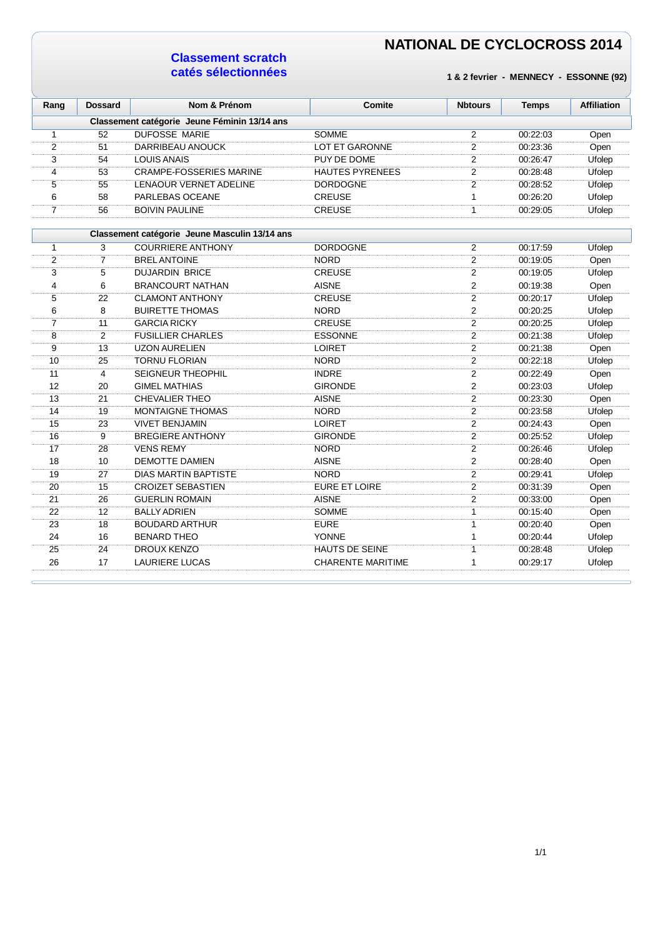### **Classement scratch catés sélectionnées**

| Rang           | <b>Dossard</b> | Nom & Prénom                                  | Comite                   | <b>Nbtours</b> | <b>Temps</b> | <b>Affiliation</b> |
|----------------|----------------|-----------------------------------------------|--------------------------|----------------|--------------|--------------------|
|                |                | Classement catégorie Jeune Féminin 13/14 ans  |                          |                |              |                    |
| $\mathbf{1}$   | 52             | <b>DUFOSSE MARIE</b>                          | <b>SOMME</b>             | 2              | 00:22:03     | Open               |
| 2              | 51             | DARRIBEAU ANOUCK                              | <b>LOT ET GARONNE</b>    | 2              | 00:23:36     | Open               |
| 3              | 54             | <b>LOUIS ANAIS</b>                            | PUY DE DOME              | $\overline{2}$ | 00:26:47     | Ufolep             |
| 4              | 53             | <b>CRAMPE-FOSSERIES MARINE</b>                | <b>HAUTES PYRENEES</b>   | 2              | 00:28:48     | Ufolep             |
| 5              | 55             | <b>LENAOUR VERNET ADELINE</b>                 | <b>DORDOGNE</b>          | $\overline{2}$ | 00:28:52     | Ufolep             |
| 6              | 58             | PARLEBAS OCEANE                               | <b>CREUSE</b>            | $\mathbf{1}$   | 00:26:20     | Ufolep             |
| $\overline{7}$ | 56             | <b>BOIVIN PAULINE</b>                         | <b>CREUSE</b>            | $\mathbf{1}$   | 00:29:05     | Ufolep             |
|                |                | Classement catégorie Jeune Masculin 13/14 ans |                          |                |              |                    |
| 1              | 3              | <b>COURRIERE ANTHONY</b>                      | <b>DORDOGNE</b>          | 2              | 00:17:59     | Ufolep             |
| 2              | 7              | <b>BREL ANTOINE</b>                           | <b>NORD</b>              | $\overline{c}$ | 00:19:05     | Open               |
| 3              | 5              | <b>DUJARDIN BRICE</b>                         | <b>CREUSE</b>            | $\overline{2}$ | 00:19:05     | Ufolep             |
| 4              | 6              | <b>BRANCOURT NATHAN</b>                       | <b>AISNE</b>             | 2              | 00:19:38     | Open               |
| 5              | 22             | <b>CLAMONT ANTHONY</b>                        | <b>CREUSE</b>            | $\overline{2}$ | 00:20:17     | Ufolep             |
| 6              | 8              | <b>BUIRETTE THOMAS</b>                        | <b>NORD</b>              | 2              | 00:20:25     | Ufolep             |
| $\overline{7}$ | 11             | <b>GARCIA RICKY</b>                           | <b>CREUSE</b>            | $\overline{2}$ | 00:20:25     | Ufolep             |
| 8              | $\overline{2}$ | <b>FUSILLIER CHARLES</b>                      | <b>ESSONNE</b>           | $\overline{2}$ | 00:21:38     | Ufolep             |
| 9              | 13             | <b>UZON AURELIEN</b>                          | <b>LOIRET</b>            | $\overline{2}$ | 00:21:38     | Open               |
| 10             | 25             | <b>TORNU FLORIAN</b>                          | <b>NORD</b>              | $\overline{2}$ | 00:22:18     | Ufolep             |
| 11             | 4              | <b>SEIGNEUR THEOPHIL</b>                      | <b>INDRE</b>             | $\overline{2}$ | 00:22:49     | Open               |
| 12             | 20             | <b>GIMEL MATHIAS</b>                          | <b>GIRONDE</b>           | $\overline{2}$ | 00:23:03     | Ufolep             |
| 13             | 21             | <b>CHEVALIER THEO</b>                         | <b>AISNE</b>             | $\overline{2}$ | 00:23:30     | Open               |
| 14             | 19             | <b>MONTAIGNE THOMAS</b>                       | <b>NORD</b>              | 2              | 00:23:58     | Ufolep             |
| 15             | 23             | <b>VIVET BENJAMIN</b>                         | <b>LOIRET</b>            | $\overline{2}$ | 00:24:43     | Open               |
| 16             | 9              | <b>BREGIERE ANTHONY</b>                       | <b>GIRONDE</b>           | 2              | 00:25:52     | Ufolep             |
| 17             | 28             | <b>VENS REMY</b>                              | <b>NORD</b>              | 2              | 00:26:46     | Ufolep             |
| 18             | 10             | <b>DEMOTTE DAMIEN</b>                         | <b>AISNE</b>             | 2              | 00:28:40     | Open               |
| 19             | 27             | <b>DIAS MARTIN BAPTISTE</b>                   | <b>NORD</b>              | 2              | 00:29:41     | Ufolep             |
| 20             | 15             | <b>CROIZET SEBASTIEN</b>                      | EURE ET LOIRE            | $\overline{2}$ | 00:31:39     | Open               |
| 21             | 26             | <b>GUERLIN ROMAIN</b>                         | <b>AISNE</b>             | $\overline{2}$ | 00:33:00     | Open               |
| 22             | 12             | <b>BALLY ADRIEN</b>                           | <b>SOMME</b>             | 1              | 00:15:40     | Open               |
| 23             | 18             | <b>BOUDARD ARTHUR</b>                         | <b>EURE</b>              | $\mathbf{1}$   | 00:20:40     | Open               |
| 24             | 16             | <b>BENARD THEO</b>                            | <b>YONNE</b>             | $\mathbf{1}$   | 00:20:44     | Ufolep             |
| 25             | 24             | DROUX KENZO                                   | <b>HAUTS DE SEINE</b>    | $\mathbf{1}$   | 00:28:48     | Ufolep             |
| 26             | 17             | <b>LAURIERE LUCAS</b>                         | <b>CHARENTE MARITIME</b> | 1              | 00:29:17     | Ufolep             |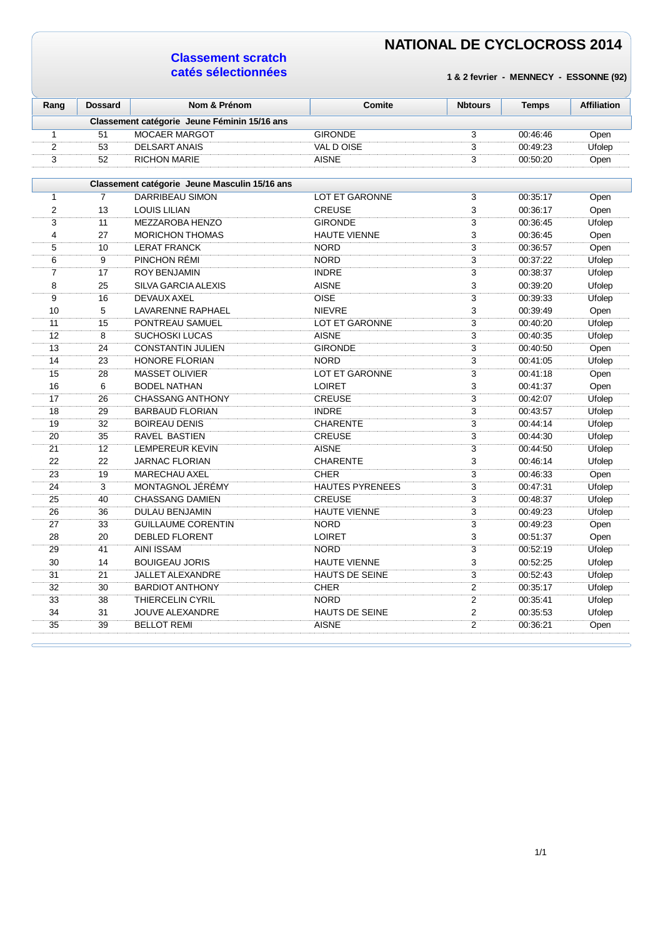### **Classement scratch catés sélectionnées**

| Rang           | <b>Dossard</b> | Nom & Prénom                                  | Comite                 | <b>Nbtours</b> | <b>Temps</b> | <b>Affiliation</b> |
|----------------|----------------|-----------------------------------------------|------------------------|----------------|--------------|--------------------|
|                |                | Classement catégorie Jeune Féminin 15/16 ans  |                        |                |              |                    |
| $\mathbf{1}$   | 51             | MOCAER MARGOT                                 | <b>GIRONDE</b>         | 3              | 00:46:46     | Open               |
| $\overline{2}$ | 53             | <b>DELSART ANAIS</b>                          | VAL DOISE              | 3              | 00:49:23     | Ufolep             |
| 3              | 52             | <b>RICHON MARIE</b>                           | <b>AISNE</b>           | 3              | 00:50:20     | Open               |
|                |                |                                               |                        |                |              |                    |
|                |                | Classement catégorie Jeune Masculin 15/16 ans |                        |                |              |                    |
| $\mathbf{1}$   | $\overline{7}$ | DARRIBEAU SIMON                               | <b>LOT ET GARONNE</b>  | 3              | 00:35:17     | Open               |
| $\overline{2}$ | 13             | <b>LOUIS LILIAN</b>                           | <b>CREUSE</b>          | 3              | 00:36:17     | Open               |
| 3              | 11             | MEZZAROBA HENZO                               | <b>GIRONDE</b>         | $\overline{3}$ | 00:36:45     | Ufolep             |
| 4              | 27             | <b>MORICHON THOMAS</b>                        | <b>HAUTE VIENNE</b>    | 3              | 00:36:45     | Open               |
| 5              | 10             | <b>LERAT FRANCK</b>                           | <b>NORD</b>            | 3              | 00:36:57     | Open               |
| 6              | 9              | PINCHON RÉMI                                  | <b>NORD</b>            | $\overline{3}$ | 00:37:22     | Ufolep             |
| $\overline{7}$ | 17             | <b>ROY BENJAMIN</b>                           | <b>INDRE</b>           | $\overline{3}$ | 00:38:37     | Ufolep             |
| 8              | 25             | SILVA GARCIA ALEXIS                           | <b>AISNE</b>           | 3              | 00:39:20     | Ufolep             |
| 9              | 16             | DEVAUX AXEL                                   | <b>OISE</b>            | 3              | 00:39:33     | Ufolep             |
| 10             | 5              | LAVARENNE RAPHAEL                             | <b>NIEVRE</b>          | 3              | 00:39:49     | Open               |
| 11             | 15             | PONTREAU SAMUEL                               | <b>LOT ET GARONNE</b>  | 3              | 00:40:20     | Ufolep             |
| 12             | 8              | <b>SUCHOSKI LUCAS</b>                         | <b>AISNE</b>           | $\overline{3}$ | 00:40:35     | Ufolep             |
| 13             | 24             | <b>CONSTANTIN JULIEN</b>                      | <b>GIRONDE</b>         | 3              | 00:40:50     | Open               |
| 14             | 23             | HONORE FLORIAN                                | <b>NORD</b>            | $\overline{3}$ | 00:41:05     | Ufolep             |
| 15             | 28             | <b>MASSET OLIVIER</b>                         | <b>LOT ET GARONNE</b>  | 3              | 00:41:18     | Open               |
| 16             | 6              | <b>BODEL NATHAN</b>                           | LOIRET                 | 3              | 00:41:37     | Open               |
| 17             | 26             | <b>CHASSANG ANTHONY</b>                       | <b>CREUSE</b>          | $\overline{3}$ | 00:42:07     | Ufolep             |
| 18             | 29             | <b>BARBAUD FLORIAN</b>                        | <b>INDRE</b>           | $\overline{3}$ | 00:43:57     | Ufolep             |
| 19             | 32             | <b>BOIREAU DENIS</b>                          | <b>CHARENTE</b>        | 3              | 00:44:14     | Ufolep             |
| 20             | 35             | RAVEL BASTIEN                                 | <b>CREUSE</b>          | 3              | 00:44:30     | Ufolep             |
| 21             | 12             | LEMPEREUR KEVIN                               | <b>AISNE</b>           | $\overline{3}$ | 00:44:50     | Ufolep             |
| 22             | 22             | <b>JARNAC FLORIAN</b>                         | <b>CHARENTE</b>        | 3              | 00:46:14     | Ufolep             |
| 23             | 19             | MARECHAU AXEL                                 | <b>CHER</b>            | 3              | 00:46:33     | Open               |
| 24             | 3              | MONTAGNOL JÉRÉMY                              | <b>HAUTES PYRENEES</b> | 3              | 00:47:31     | Ufolep             |
| 25             | 40             | <b>CHASSANG DAMIEN</b>                        | <b>CREUSE</b>          | 3              | 00:48:37     | Ufolep             |
| 26             | 36             | <b>DULAU BENJAMIN</b>                         | <b>HAUTE VIENNE</b>    | 3              | 00:49:23     | Ufolep             |
| 27             | 33             | <b>GUILLAUME CORENTIN</b>                     | <b>NORD</b>            | 3              | 00:49:23     | Open               |
| 28             | 20             | <b>DEBLED FLORENT</b>                         | <b>LOIRET</b>          | 3              | 00:51:37     | Open               |
| 29             | 41             | <b>AINI ISSAM</b>                             | <b>NORD</b>            | $\overline{3}$ | 00:52:19     | Ufolep             |
| 30             | 14             | <b>BOUIGEAU JORIS</b>                         | <b>HAUTE VIENNE</b>    | 3              | 00:52:25     | Ufolep             |
| 31             | 21             | JALLET ALEXANDRE                              | <b>HAUTS DE SEINE</b>  | 3              | 00:52:43     | Ufolep             |
| 32             | 30             | <b>BARDIOT ANTHONY</b>                        | <b>CHER</b>            | 2              | 00:35:17     | Ufolep             |
| 33             | 38             | <b>THIERCELIN CYRIL</b>                       | <b>NORD</b>            | $\overline{2}$ | 00:35:41     | Ufolep             |
| 34             | 31             | JOUVE ALEXANDRE                               | <b>HAUTS DE SEINE</b>  | $\overline{2}$ | 00:35:53     | Ufolep             |
| 35             | 39             | <b>BELLOT REMI</b>                            | <b>AISNE</b>           | $\overline{2}$ | 00:36:21     | Open               |
|                |                |                                               |                        |                |              |                    |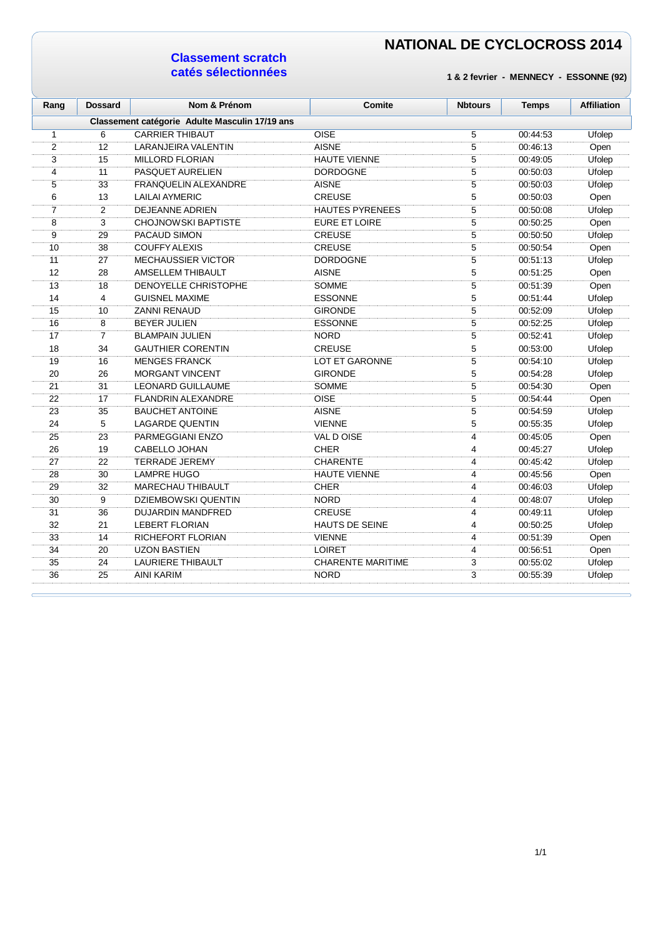### **Classement scratch catés sélectionnées**

| Classement catégorie Adulte Masculin 17/19 ans<br><b>OISE</b><br>6<br><b>CARRIER THIBAUT</b><br>5<br>00:44:53<br>1<br>2<br>12<br><b>AISNE</b><br>5<br>LARANJEIRA VALENTIN<br>00:46:13<br>5<br>3<br>15<br><b>MILLORD FLORIAN</b><br><b>HAUTE VIENNE</b><br>00:49:05<br>5<br>11<br>4<br>PASQUET AURELIEN<br><b>DORDOGNE</b><br>00:50:03<br>5<br>5<br>33<br><b>FRANQUELIN ALEXANDRE</b><br><b>AISNE</b><br>00:50:03<br>5<br>6<br>13<br><b>LAILAI AYMERIC</b><br><b>CREUSE</b><br>00:50:03<br>5<br>$\overline{7}$<br>$\overline{2}$<br><b>DEJEANNE ADRIEN</b><br><b>HAUTES PYRENEES</b><br>00:50:08<br>3<br>5<br>8<br><b>CHOJNOWSKI BAPTISTE</b><br>EURE ET LOIRE<br>00:50:25<br>5<br>9<br>29<br>PACAUD SIMON<br><b>CREUSE</b><br>00:50:50<br>38<br><b>COUFFY ALEXIS</b><br><b>CREUSE</b><br>5<br>10<br>00:50:54<br>5<br>11<br>27<br><b>MECHAUSSIER VICTOR</b><br><b>DORDOGNE</b><br>00:51:13<br>5<br>12<br>28<br>AMSELLEM THIBAULT<br><b>AISNE</b><br>00:51:25<br>$\overline{5}$<br>13<br>18<br>DENOYELLE CHRISTOPHE<br><b>SOMME</b><br>00:51:39<br>$\overline{5}$<br>$\overline{4}$<br>14<br><b>GUISNEL MAXIME</b><br><b>ESSONNE</b><br>00:51:44<br>5<br>15<br>10<br><b>ZANNI RENAUD</b><br>00:52:09<br><b>GIRONDE</b><br>5<br>16<br>8<br><b>BEYER JULIEN</b><br><b>ESSONNE</b><br>00:52:25<br>$\overline{7}$<br>5<br>17<br><b>NORD</b><br>00:52:41<br><b>BLAMPAIN JULIEN</b><br>34<br><b>CREUSE</b> | <b>Affiliation</b> |
|----------------------------------------------------------------------------------------------------------------------------------------------------------------------------------------------------------------------------------------------------------------------------------------------------------------------------------------------------------------------------------------------------------------------------------------------------------------------------------------------------------------------------------------------------------------------------------------------------------------------------------------------------------------------------------------------------------------------------------------------------------------------------------------------------------------------------------------------------------------------------------------------------------------------------------------------------------------------------------------------------------------------------------------------------------------------------------------------------------------------------------------------------------------------------------------------------------------------------------------------------------------------------------------------------------------------------------------------------------------------------------------------------|--------------------|
|                                                                                                                                                                                                                                                                                                                                                                                                                                                                                                                                                                                                                                                                                                                                                                                                                                                                                                                                                                                                                                                                                                                                                                                                                                                                                                                                                                                                    |                    |
|                                                                                                                                                                                                                                                                                                                                                                                                                                                                                                                                                                                                                                                                                                                                                                                                                                                                                                                                                                                                                                                                                                                                                                                                                                                                                                                                                                                                    | Ufolep             |
|                                                                                                                                                                                                                                                                                                                                                                                                                                                                                                                                                                                                                                                                                                                                                                                                                                                                                                                                                                                                                                                                                                                                                                                                                                                                                                                                                                                                    | Open               |
|                                                                                                                                                                                                                                                                                                                                                                                                                                                                                                                                                                                                                                                                                                                                                                                                                                                                                                                                                                                                                                                                                                                                                                                                                                                                                                                                                                                                    | Ufolep             |
|                                                                                                                                                                                                                                                                                                                                                                                                                                                                                                                                                                                                                                                                                                                                                                                                                                                                                                                                                                                                                                                                                                                                                                                                                                                                                                                                                                                                    | Ufolep             |
|                                                                                                                                                                                                                                                                                                                                                                                                                                                                                                                                                                                                                                                                                                                                                                                                                                                                                                                                                                                                                                                                                                                                                                                                                                                                                                                                                                                                    | Ufolep             |
|                                                                                                                                                                                                                                                                                                                                                                                                                                                                                                                                                                                                                                                                                                                                                                                                                                                                                                                                                                                                                                                                                                                                                                                                                                                                                                                                                                                                    | Open               |
|                                                                                                                                                                                                                                                                                                                                                                                                                                                                                                                                                                                                                                                                                                                                                                                                                                                                                                                                                                                                                                                                                                                                                                                                                                                                                                                                                                                                    | <b>Ufolep</b>      |
|                                                                                                                                                                                                                                                                                                                                                                                                                                                                                                                                                                                                                                                                                                                                                                                                                                                                                                                                                                                                                                                                                                                                                                                                                                                                                                                                                                                                    | Open               |
|                                                                                                                                                                                                                                                                                                                                                                                                                                                                                                                                                                                                                                                                                                                                                                                                                                                                                                                                                                                                                                                                                                                                                                                                                                                                                                                                                                                                    | Ufolep             |
|                                                                                                                                                                                                                                                                                                                                                                                                                                                                                                                                                                                                                                                                                                                                                                                                                                                                                                                                                                                                                                                                                                                                                                                                                                                                                                                                                                                                    | Open               |
|                                                                                                                                                                                                                                                                                                                                                                                                                                                                                                                                                                                                                                                                                                                                                                                                                                                                                                                                                                                                                                                                                                                                                                                                                                                                                                                                                                                                    | Ufolep             |
|                                                                                                                                                                                                                                                                                                                                                                                                                                                                                                                                                                                                                                                                                                                                                                                                                                                                                                                                                                                                                                                                                                                                                                                                                                                                                                                                                                                                    | Open               |
|                                                                                                                                                                                                                                                                                                                                                                                                                                                                                                                                                                                                                                                                                                                                                                                                                                                                                                                                                                                                                                                                                                                                                                                                                                                                                                                                                                                                    | Open               |
|                                                                                                                                                                                                                                                                                                                                                                                                                                                                                                                                                                                                                                                                                                                                                                                                                                                                                                                                                                                                                                                                                                                                                                                                                                                                                                                                                                                                    | Ufolep             |
|                                                                                                                                                                                                                                                                                                                                                                                                                                                                                                                                                                                                                                                                                                                                                                                                                                                                                                                                                                                                                                                                                                                                                                                                                                                                                                                                                                                                    | Ufolep             |
|                                                                                                                                                                                                                                                                                                                                                                                                                                                                                                                                                                                                                                                                                                                                                                                                                                                                                                                                                                                                                                                                                                                                                                                                                                                                                                                                                                                                    | Ufolep             |
|                                                                                                                                                                                                                                                                                                                                                                                                                                                                                                                                                                                                                                                                                                                                                                                                                                                                                                                                                                                                                                                                                                                                                                                                                                                                                                                                                                                                    | Ufolep             |
| 5<br>00:53:00<br>18<br><b>GAUTHIER CORENTIN</b>                                                                                                                                                                                                                                                                                                                                                                                                                                                                                                                                                                                                                                                                                                                                                                                                                                                                                                                                                                                                                                                                                                                                                                                                                                                                                                                                                    | Ufolep             |
| $\overline{5}$<br>19<br>16<br><b>MENGES FRANCK</b><br><b>LOT ET GARONNE</b><br>00:54:10                                                                                                                                                                                                                                                                                                                                                                                                                                                                                                                                                                                                                                                                                                                                                                                                                                                                                                                                                                                                                                                                                                                                                                                                                                                                                                            | <b>Ufolep</b>      |
| $\overline{5}$<br>20<br>26<br><b>GIRONDE</b><br><b>MORGANT VINCENT</b><br>00:54:28                                                                                                                                                                                                                                                                                                                                                                                                                                                                                                                                                                                                                                                                                                                                                                                                                                                                                                                                                                                                                                                                                                                                                                                                                                                                                                                 | Ufolep             |
| 5<br>21<br>31<br><b>LEONARD GUILLAUME</b><br>SOMME<br>00:54:30                                                                                                                                                                                                                                                                                                                                                                                                                                                                                                                                                                                                                                                                                                                                                                                                                                                                                                                                                                                                                                                                                                                                                                                                                                                                                                                                     | Open               |
| <b>OISE</b><br>5<br>22<br>17<br><b>FLANDRIN ALEXANDRE</b><br>00:54:44                                                                                                                                                                                                                                                                                                                                                                                                                                                                                                                                                                                                                                                                                                                                                                                                                                                                                                                                                                                                                                                                                                                                                                                                                                                                                                                              | Open               |
| 5<br>23<br>35<br><b>AISNE</b><br><b>BAUCHET ANTOINE</b><br>00:54:59                                                                                                                                                                                                                                                                                                                                                                                                                                                                                                                                                                                                                                                                                                                                                                                                                                                                                                                                                                                                                                                                                                                                                                                                                                                                                                                                | Ufolep             |
| 24<br>5<br>5<br><b>LAGARDE QUENTIN</b><br><b>VIENNE</b><br>00:55:35                                                                                                                                                                                                                                                                                                                                                                                                                                                                                                                                                                                                                                                                                                                                                                                                                                                                                                                                                                                                                                                                                                                                                                                                                                                                                                                                | Ufolep             |
| $\overline{4}$<br>25<br>23<br>VAL D OISE<br>PARMEGGIANI ENZO<br>00:45:05                                                                                                                                                                                                                                                                                                                                                                                                                                                                                                                                                                                                                                                                                                                                                                                                                                                                                                                                                                                                                                                                                                                                                                                                                                                                                                                           | Open               |
| 26<br>19<br><b>CHER</b><br>4<br>CABELLO JOHAN<br>00:45:27                                                                                                                                                                                                                                                                                                                                                                                                                                                                                                                                                                                                                                                                                                                                                                                                                                                                                                                                                                                                                                                                                                                                                                                                                                                                                                                                          | Ufolep             |
| 27<br>22<br><b>TERRADE JEREMY</b><br><b>CHARENTE</b><br>4<br>00:45:42                                                                                                                                                                                                                                                                                                                                                                                                                                                                                                                                                                                                                                                                                                                                                                                                                                                                                                                                                                                                                                                                                                                                                                                                                                                                                                                              | Ufolep             |
| 30<br>28<br><b>LAMPRE HUGO</b><br><b>HAUTE VIENNE</b><br>4<br>00:45:56                                                                                                                                                                                                                                                                                                                                                                                                                                                                                                                                                                                                                                                                                                                                                                                                                                                                                                                                                                                                                                                                                                                                                                                                                                                                                                                             | Open               |
| 29<br>32<br>MARECHAU THIBAULT<br><b>CHER</b><br>4<br>00:46:03                                                                                                                                                                                                                                                                                                                                                                                                                                                                                                                                                                                                                                                                                                                                                                                                                                                                                                                                                                                                                                                                                                                                                                                                                                                                                                                                      | Ufolep             |
| 9<br>30<br><b>NORD</b><br>4<br><b>DZIEMBOWSKI QUENTIN</b><br>00:48:07                                                                                                                                                                                                                                                                                                                                                                                                                                                                                                                                                                                                                                                                                                                                                                                                                                                                                                                                                                                                                                                                                                                                                                                                                                                                                                                              | Ufolep             |
| $\overline{4}$<br>31<br>36<br><b>DUJARDIN MANDFRED</b><br><b>CREUSE</b><br>00:49:11                                                                                                                                                                                                                                                                                                                                                                                                                                                                                                                                                                                                                                                                                                                                                                                                                                                                                                                                                                                                                                                                                                                                                                                                                                                                                                                | Ufolep             |
| 32<br>21<br><b>LEBERT FLORIAN</b><br><b>HAUTS DE SEINE</b><br>4<br>00:50:25                                                                                                                                                                                                                                                                                                                                                                                                                                                                                                                                                                                                                                                                                                                                                                                                                                                                                                                                                                                                                                                                                                                                                                                                                                                                                                                        | Ufolep             |
| <b>RICHEFORT FLORIAN</b><br>33<br>14<br><b>VIENNE</b><br>4<br>00:51:39                                                                                                                                                                                                                                                                                                                                                                                                                                                                                                                                                                                                                                                                                                                                                                                                                                                                                                                                                                                                                                                                                                                                                                                                                                                                                                                             | Open               |
| <b>UZON BASTIEN</b><br>34<br>20<br><b>LOIRET</b><br>4<br>00:56:51                                                                                                                                                                                                                                                                                                                                                                                                                                                                                                                                                                                                                                                                                                                                                                                                                                                                                                                                                                                                                                                                                                                                                                                                                                                                                                                                  | Open               |
| <b>LAURIERE THIBAULT</b><br><b>CHARENTE MARITIME</b><br>3<br>35<br>24<br>00:55:02                                                                                                                                                                                                                                                                                                                                                                                                                                                                                                                                                                                                                                                                                                                                                                                                                                                                                                                                                                                                                                                                                                                                                                                                                                                                                                                  | Ufolep             |
| 3<br>36<br>25<br><b>NORD</b><br><b>AINI KARIM</b><br>00:55:39                                                                                                                                                                                                                                                                                                                                                                                                                                                                                                                                                                                                                                                                                                                                                                                                                                                                                                                                                                                                                                                                                                                                                                                                                                                                                                                                      | Ufolep             |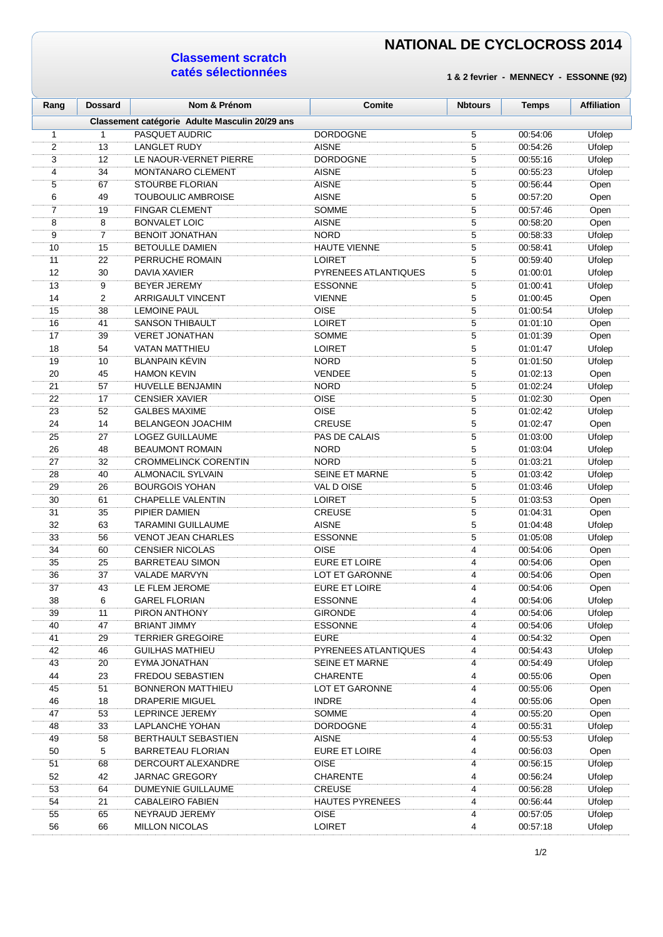#### **Classement scratch catés sélectionnées**

| Rang | <b>Dossard</b> | Nom & Prénom                                   | <b>Comite</b>          | <b>Nbtours</b> | <b>Temps</b> | <b>Affiliation</b> |
|------|----------------|------------------------------------------------|------------------------|----------------|--------------|--------------------|
|      |                | Classement catégorie Adulte Masculin 20/29 ans |                        |                |              |                    |
| 1    | $\mathbf{1}$   | <b>PASQUET AUDRIC</b>                          | <b>DORDOGNE</b>        | 5              | 00:54:06     | Ufolep             |
| 2    | 13             | <b>LANGLET RUDY</b>                            | <b>AISNE</b>           | 5              | 00:54:26     | Ufolep             |
| 3    | 12             | LE NAOUR-VERNET PIERRE                         | <b>DORDOGNE</b>        | 5              | 00:55:16     | Ufolep             |
| 4    | 34             | <b>MONTANARO CLEMENT</b>                       | <b>AISNE</b>           | 5              | 00:55:23     | Ufolep             |
| 5    | 67             | <b>STOURBE FLORIAN</b>                         | <b>AISNE</b>           | 5              | 00:56:44     | Open               |
| 6    | 49             | <b>TOUBOULIC AMBROISE</b>                      | <b>AISNE</b>           | 5              | 00:57:20     | Open               |
| 7    | 19             | <b>FINGAR CLEMENT</b>                          | <b>SOMME</b>           | 5              | 00:57:46     | Open               |
| 8    | 8              | <b>BONVALET LOIC</b>                           | <b>AISNE</b>           | 5              | 00:58:20     | Open               |
| 9    | $\overline{7}$ | <b>BENOIT JONATHAN</b>                         | <b>NORD</b>            | 5              | 00:58:33     | Ufolep             |
| 10   | 15             | <b>BETOULLE DAMIEN</b>                         | <b>HAUTE VIENNE</b>    | 5              | 00:58:41     | Ufolep             |
| 11   | 22             | PERRUCHE ROMAIN                                | <b>LOIRET</b>          | 5              | 00:59:40     | Ufolep             |
| 12   | 30             | DAVIA XAVIER                                   | PYRENEES ATLANTIQUES   | 5              | 01:00:01     | Ufolep             |
| 13   | 9              | <b>BEYER JEREMY</b>                            | <b>ESSONNE</b>         | 5              | 01:00:41     | Ufolep             |
| 14   | 2              | <b>ARRIGAULT VINCENT</b>                       | <b>VIENNE</b>          | 5              | 01:00:45     | Open               |
| 15   | 38             | <b>LEMOINE PAUL</b>                            | <b>OISE</b>            | 5              | 01:00:54     | Ufolep             |
| 16   | 41             | <b>SANSON THIBAULT</b>                         | <b>LOIRET</b>          | 5              | 01:01:10     | Open               |
| 17   | 39             | <b>VERET JONATHAN</b>                          | <b>SOMME</b>           | 5              | 01:01:39     | Open               |
| 18   | 54             | <b>VATAN MATTHIEU</b>                          | <b>LOIRET</b>          | 5              | 01:01:47     | Ufolep             |
| 19   | 10             | <b>BLANPAIN KÉVIN</b>                          | <b>NORD</b>            | 5              | 01:01:50     | Ufolep             |
| 20   | 45             | <b>HAMON KEVIN</b>                             | <b>VENDEE</b>          | 5              | 01:02:13     | Open               |
| 21   | 57             | <b>HUVELLE BENJAMIN</b>                        | <b>NORD</b>            | 5              | 01:02:24     | Ufolep             |
| 22   | 17             | <b>CENSIER XAVIER</b>                          | <b>OISE</b>            | 5              | 01:02:30     | Open               |
| 23   | 52             | <b>GALBES MAXIME</b>                           | <b>OISE</b>            | 5              | 01:02:42     | Ufolep             |
| 24   | 14             | <b>BELANGEON JOACHIM</b>                       | <b>CREUSE</b>          | 5              | 01:02:47     | Open               |
| 25   | 27             | LOGEZ GUILLAUME                                | PAS DE CALAIS          | 5              | 01:03:00     | Ufolep             |
| 26   | 48             | <b>BEAUMONT ROMAIN</b>                         | <b>NORD</b>            | 5              | 01:03:04     | Ufolep             |
| 27   | 32             | <b>CROMMELINCK CORENTIN</b>                    | <b>NORD</b>            | 5              | 01:03:21     | Ufolep             |
| 28   | 40             | <b>ALMONACIL SYLVAIN</b>                       | <b>SEINE ET MARNE</b>  | 5              | 01:03:42     | Ufolep             |
| 29   | 26             | <b>BOURGOIS YOHAN</b>                          | VAL D OISE             | 5              | 01:03:46     | Ufolep             |
| 30   | 61             | <b>CHAPELLE VALENTIN</b>                       | <b>LOIRET</b>          | 5              | 01:03:53     | Open               |
| 31   | 35             | PIPIER DAMIEN                                  | <b>CREUSE</b>          | 5              | 01:04:31     | Open               |
| 32   | 63             | TARAMINI GUILLAUME                             | <b>AISNE</b>           | 5              | 01:04:48     | Ufolep             |
| 33   | 56             | <b>VENOT JEAN CHARLES</b>                      | <b>ESSONNE</b>         | 5              | 01:05:08     | Ufolep             |
| 34   | 60             | <b>CENSIER NICOLAS</b>                         | <b>OISE</b>            | 4              | 00:54:06     | Open               |
| 35   | 25             | <b>BARRETEAU SIMON</b>                         | <b>EURE ET LOIRE</b>   | 4              | 00:54:06     | Open               |
| 36   | 37             | <b>VALADE MARVYN</b>                           | <b>LOT ET GARONNE</b>  | 4              | 00:54:06     | Open               |
| 37   | 43             | LE FLEM JEROME                                 | <b>EURE ET LOIRE</b>   | 4              | 00:54:06     | Open               |
| 38   | 6              | <b>GAREL FLORIAN</b>                           | <b>ESSONNE</b>         | 4              | 00:54:06     | Ufolep             |
| 39   | 11             | PIRON ANTHONY                                  | <b>GIRONDE</b>         | 4              | 00:54:06     | Ufolep             |
| 40   | 47             | <b>BRIANT JIMMY</b>                            | <b>ESSONNE</b>         | 4              | 00:54:06     | Ufolep             |
| 41   | 29             | <b>TERRIER GREGOIRE</b>                        | <b>EURE</b>            | 4              | 00:54:32     | Open               |
| 42   | 46             | <b>GUILHAS MATHIEU</b>                         | PYRENEES ATLANTIQUES   | 4              | 00:54:43     | Ufolep             |
| 43   | 20             | EYMA JONATHAN                                  | <b>SEINE ET MARNE</b>  | 4              | 00:54:49     | Ufolep             |
| 44   | 23             | <b>FREDOU SEBASTIEN</b>                        | <b>CHARENTE</b>        | 4              | 00:55:06     | Open               |
| 45   | 51             | <b>BONNERON MATTHIEU</b>                       | LOT ET GARONNE         | 4              | 00:55:06     | Open               |
| 46   | 18             | <b>DRAPERIE MIGUEL</b>                         | <b>INDRE</b>           | 4              | 00:55:06     | Open               |
| 47   | 53             | LEPRINCE JEREMY                                | <b>SOMME</b>           | 4              | 00:55:20     | Open               |
| 48   | 33             | LAPLANCHE YOHAN                                | <b>DORDOGNE</b>        | 4              | 00:55:31     | Ufolep             |
| 49   | 58             | BERTHAULT SEBASTIEN                            | <b>AISNE</b>           | 4              | 00:55:53     | Ufolep             |
| 50   | 5              | <b>BARRETEAU FLORIAN</b>                       | EURE ET LOIRE          | 4              | 00:56:03     | Open               |
| 51   | 68             | DERCOURT ALEXANDRE                             | OISE                   | 4              | 00:56:15     | Ufolep             |
| 52   | 42             | <b>JARNAC GREGORY</b>                          | <b>CHARENTE</b>        | 4              | 00:56:24     | Ufolep             |
| 53   | 64             | DUMEYNIE GUILLAUME                             | <b>CREUSE</b>          | 4              | 00:56:28     | Ufolep             |
| 54   | 21             | <b>CABALEIRO FABIEN</b>                        | <b>HAUTES PYRENEES</b> | 4              | 00:56:44     | Ufolep             |
| 55   | 65             | NEYRAUD JEREMY                                 | <b>OISE</b>            | 4              | 00:57:05     | Ufolep             |
| 56   | 66             | <b>MILLON NICOLAS</b>                          | <b>LOIRET</b>          | 4              | 00:57:18     | Ufolep             |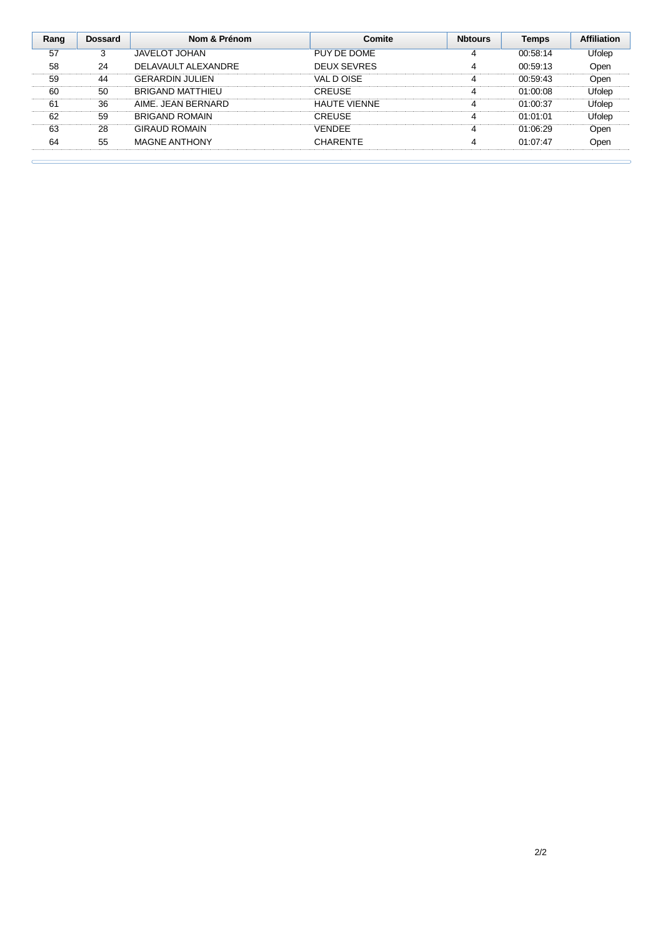| Rang | <b>Dossard</b> | Nom & Prénom           | Comite              | <b>N</b> btours | <b>Temps</b> | <b>Affiliation</b> |
|------|----------------|------------------------|---------------------|-----------------|--------------|--------------------|
| 57   | 3              | <b>JAVELOT JOHAN</b>   | PUY DE DOME         | 4               | 00:58:14     | Ufolep             |
| 58   | 24             | DELAVAULT ALEXANDRE    | <b>DEUX SEVRES</b>  |                 | 00:59:13     | Open               |
| 59   | 44             | <b>GERARDIN JULIEN</b> | VAL D OISE          | 4               | 00:59:43     | Open               |
| 60   | 50             | BRIGAND MATTHIEU       | <b>CREUSE</b>       | 4               | 01:00:08     | Ufolep             |
| 61   | 36             | AIME. JEAN BERNARD     | <b>HAUTE VIENNE</b> |                 | 01:00:37     | Ufolep             |
| 62   | 59             | <b>BRIGAND ROMAIN</b>  | <b>CREUSE</b>       | 4               | 01:01:01     | Ufolep             |
| 63   | 28             | <b>GIRAUD ROMAIN</b>   | <b>VENDEE</b>       | 4               | 01:06:29     | Open               |
| 64   | 55             | <b>MAGNE ANTHONY</b>   | <b>CHARENTE</b>     | 4               | 01:07:47     | Open               |
|      |                |                        |                     |                 |              |                    |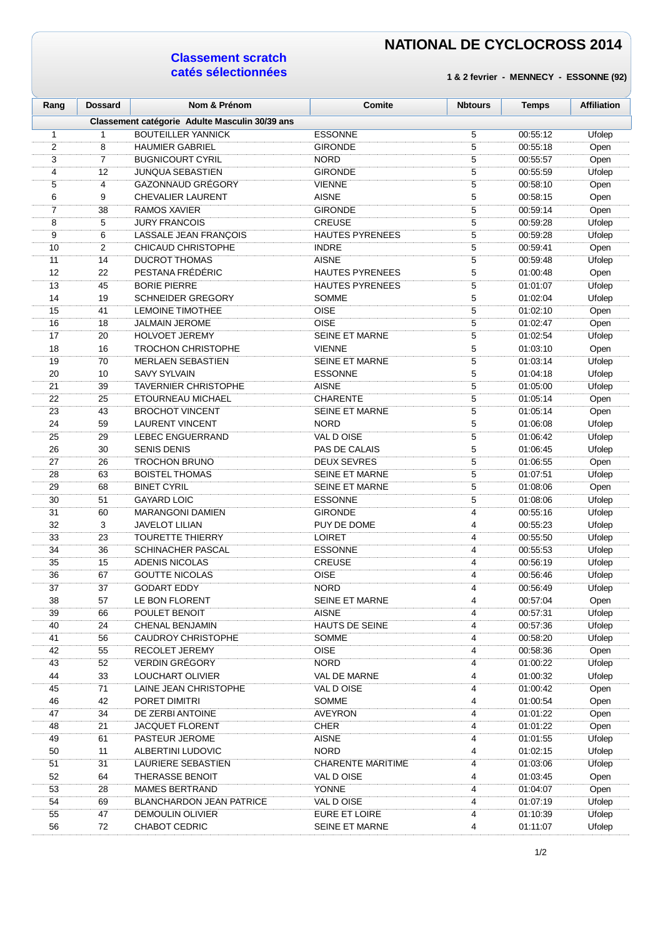#### **Classement scratch catés sélectionnées**

| Rang             | <b>Dossard</b> | Nom & Prénom                                    | Comite                      | <b>Nbtours</b> | <b>Temps</b>         | <b>Affiliation</b> |
|------------------|----------------|-------------------------------------------------|-----------------------------|----------------|----------------------|--------------------|
|                  |                | Classement catégorie Adulte Masculin 30/39 ans  |                             |                |                      |                    |
| $\mathbf{1}$     | 1              | <b>BOUTEILLER YANNICK</b>                       | <b>ESSONNE</b>              | 5              | 00:55:12             | Ufolep             |
| $\boldsymbol{2}$ | 8              | <b>HAUMIER GABRIEL</b>                          | <b>GIRONDE</b>              | 5              | 00:55:18             | Open               |
| 3                | $\overline{7}$ | <b>BUGNICOURT CYRIL</b>                         | <b>NORD</b>                 | 5              | 00:55:57             | Open               |
| 4                | 12             | <b>JUNQUA SEBASTIEN</b>                         | <b>GIRONDE</b>              | 5              | 00:55:59             | Ufolep             |
| 5                | 4              | <b>GAZONNAUD GRÉGORY</b>                        | <b>VIENNE</b>               | 5              | 00:58:10             | Open               |
| 6                | 9              | CHEVALIER LAURENT                               | <b>AISNE</b>                | 5              | 00:58:15             | Open               |
| $\overline{7}$   | 38             | RAMOS XAVIER                                    | <b>GIRONDE</b>              | 5              | 00:59:14             | Open               |
| 8                | 5              | <b>JURY FRANCOIS</b>                            | CREUSE                      | 5              | 00:59:28             | Ufolep             |
| 9                | 6              | LASSALE JEAN FRANÇOIS                           | <b>HAUTES PYRENEES</b>      | 5              | 00:59:28             | Ufolep             |
| 10               | 2              | CHICAUD CHRISTOPHE                              | <b>INDRE</b>                | $\mathbf 5$    | 00:59:41             | Open               |
| 11               | 14             | <b>DUCROT THOMAS</b>                            | <b>AISNE</b>                | 5              | 00:59:48             | Ufolep             |
| 12               | 22             | PESTANA FRÉDÉRIC                                | <b>HAUTES PYRENEES</b>      | 5              | 01:00:48             | Open               |
| 13<br>14         | 45<br>19       | <b>BORIE PIERRE</b><br><b>SCHNEIDER GREGORY</b> | <b>HAUTES PYRENEES</b>      | 5<br>5         | 01:01:07             | Ufolep             |
|                  |                | <b>LEMOINE TIMOTHEE</b>                         | <b>SOMME</b><br><b>OISE</b> | 5              | 01:02:04             | Ufolep             |
| 15               | 41             | <b>JALMAIN JEROME</b>                           | <b>OISE</b>                 | 5              | 01:02:10<br>01:02:47 | Open               |
| 16<br>17         | 18<br>20       | <b>HOLVOET JEREMY</b>                           | <b>SEINE ET MARNE</b>       | $\mathbf 5$    | 01:02:54             | Open               |
| 18               | 16             | <b>TROCHON CHRISTOPHE</b>                       | <b>VIENNE</b>               | 5              | 01:03:10             | Ufolep             |
| 19               | 70             | <b>MERLAEN SEBASTIEN</b>                        | <b>SEINE ET MARNE</b>       | 5              | 01:03:14             | Open<br>Ufolep     |
| 20               | 10             | <b>SAVY SYLVAIN</b>                             | <b>ESSONNE</b>              | 5              | 01:04:18             | <b>Ufolep</b>      |
| 21               | 39             | TAVERNIER CHRISTOPHE                            | <b>AISNE</b>                | 5              | 01:05:00             | <b>Ufolep</b>      |
| 22               | 25             | ETOURNEAU MICHAEL                               | <b>CHARENTE</b>             | 5              | 01:05:14             | Open               |
| 23               | 43             | <b>BROCHOT VINCENT</b>                          | SEINE ET MARNE              | 5              | 01:05:14             | Open               |
| 24               | 59             | <b>LAURENT VINCENT</b>                          | <b>NORD</b>                 | 5              | 01:06:08             | Ufolep             |
| 25               | 29             | LEBEC ENGUERRAND                                | VAL D OISE                  | 5              | 01:06:42             | Ufolep             |
| 26               | 30             | <b>SENIS DENIS</b>                              | PAS DE CALAIS               | $\mathbf 5$    | 01:06:45             | Ufolep             |
| 27               | 26             | TROCHON BRUNO                                   | <b>DEUX SEVRES</b>          | 5              | 01:06:55             | Open               |
| 28               | 63             | <b>BOISTEL THOMAS</b>                           | <b>SEINE ET MARNE</b>       | 5              | 01:07:51             | Ufolep             |
| 29               | 68             | <b>BINET CYRIL</b>                              | <b>SEINE ET MARNE</b>       | 5              | 01:08:06             | Open               |
| 30               | 51             | <b>GAYARD LOIC</b>                              | <b>ESSONNE</b>              | 5              | 01:08:06             | Ufolep             |
| 31               | 60             | <b>MARANGONI DAMIEN</b>                         | <b>GIRONDE</b>              | 4              | 00:55:16             | Ufolep             |
| 32               | 3              | <b>JAVELOT LILIAN</b>                           | PUY DE DOME                 | 4              | 00:55:23             | Ufolep             |
| 33               | 23             | <b>TOURETTE THIERRY</b>                         | <b>LOIRET</b>               | 4              | 00:55:50             | Ufolep             |
| 34               | 36             | SCHINACHER PASCAL                               | <b>ESSONNE</b>              | 4              | 00:55:53             | Ufolep             |
| 35               | 15             | ADENIS NICOLAS                                  | <b>CREUSE</b>               | 4              | 00:56:19             | Ufolep             |
| 36               | 67             | <b>GOUTTE NICOLAS</b>                           | OISE                        | 4              | 00:56:46             | Ufolep             |
| 37               | 37             | <b>GODART EDDY</b>                              | <b>NORD</b>                 | 4              | 00:56:49             | Ufolep             |
| 38               | 57             | LE BON FLORENT                                  | <b>SEINE ET MARNE</b>       | 4              | 00:57:04             | Open               |
| 39               | 66             | POULET BENOIT                                   | <b>AISNE</b>                | 4              | 00:57:31             | Ufolep             |
| 40               | 24             | CHENAL BENJAMIN                                 | <b>HAUTS DE SEINE</b>       | 4              | 00:57:36             | Ufolep             |
| 41               | 56             | <b>CAUDROY CHRISTOPHE</b>                       | <b>SOMME</b>                | 4              | 00:58:20             | Ufolep             |
| 42               | 55             | <b>RECOLET JEREMY</b>                           | <b>OISE</b>                 | 4              | 00:58:36             | Open               |
| 43               | 52             | <b>VERDIN GRÉGORY</b>                           | <b>NORD</b>                 | 4              | 01:00:22             | Ufolep             |
| 44               | 33             | LOUCHART OLIVIER                                | VAL DE MARNE                | 4              | 01:00:32             | Ufolep             |
| 45               | 71             | LAINE JEAN CHRISTOPHE                           | VAL D OISE                  | 4              | 01:00:42             | Open               |
| 46               | 42             | PORET DIMITRI                                   | <b>SOMME</b>                | 4              | 01:00:54             | Open               |
| 47               | 34             | DE ZERBI ANTOINE                                | <b>AVEYRON</b>              | 4              | 01:01:22             | Open               |
| 48               | 21             | <b>JACQUET FLORENT</b>                          | <b>CHER</b>                 | 4              | 01:01:22             | Open               |
| 49               | 61             | PASTEUR JEROME                                  | <b>AISNE</b>                | 4              | 01:01:55             | Ufolep             |
| 50               | 11             | ALBERTINI LUDOVIC                               | <b>NORD</b>                 | 4              | 01:02:15             | Ufolep             |
| 51               | 31             | LAURIERE SEBASTIEN                              | <b>CHARENTE MARITIME</b>    | 4              | 01:03:06             | Ufolep             |
| 52               | 64             | <b>THERASSE BENOIT</b>                          | VAL D OISE                  | 4              | 01:03:45             | Open               |
| 53               | 28             | <b>MAMES BERTRAND</b>                           | YONNE                       | $\overline{4}$ | 01:04:07             | Open               |
| 54               | 69             | <b>BLANCHARDON JEAN PATRICE</b>                 | VAL D OISE                  | 4              | 01:07:19             | Ufolep             |
| 55               | 47             | <b>DEMOULIN OLIVIER</b>                         | EURE ET LOIRE               | 4              | 01:10:39             | Ufolep             |
| 56               | 72             | <b>CHABOT CEDRIC</b>                            | SEINE ET MARNE              | 4              | 01:11:07             | Ufolep             |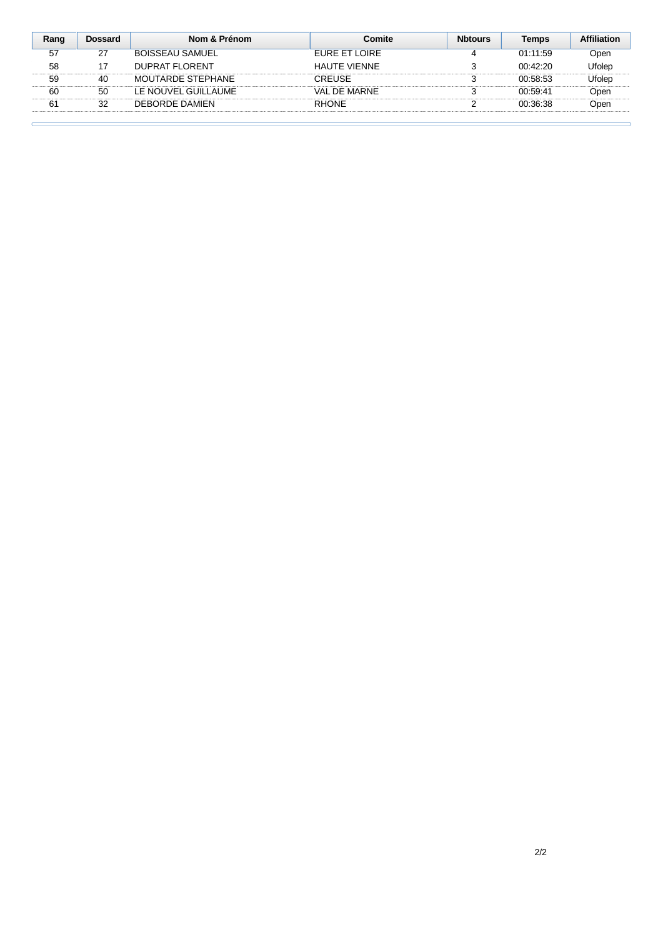| Rang | <b>Dossard</b> | Nom & Prénom         | Comite              | <b>Nbtours</b> | Temps    | Affiliation |
|------|----------------|----------------------|---------------------|----------------|----------|-------------|
| 57   | 27             | BOISSEAU SAMUEL      | FURE ET LOIRE       |                | 01:11:59 | Open        |
| 58   |                | DUPRAT FLORENT       | <b>HAUTE VIENNE</b> |                | 00:42:20 | Ufolep      |
| 59   | 40             | MOUTARDE STEPHANE    | CREUSE              |                | 00:58:53 | Ufolep      |
| 60   | 50             | I E NOUVEL GUILLAUME | VAI DE MARNE        |                | 00.59.41 | Open        |
| 61   | 32             | DEBORDE DAMIEN       | <b>RHONF</b>        |                | 00:36:38 | Dpen        |
|      |                |                      |                     |                |          |             |

 $\epsilon$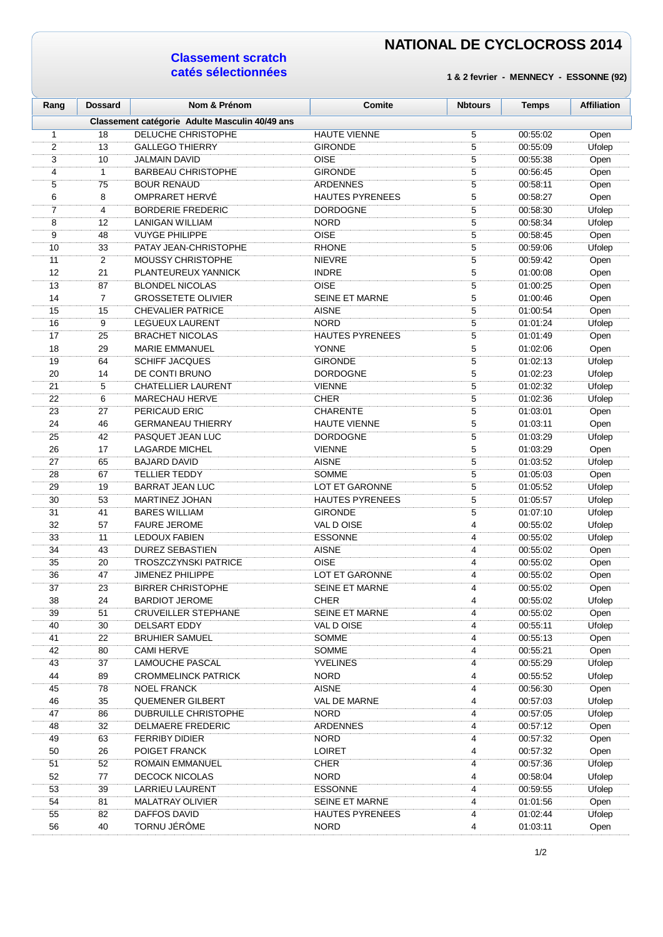### **Classement scratch catés sélectionnées**

| Rang             | <b>Dossard</b> | Nom & Prénom                                   | Comite                 | <b>Nbtours</b> | <b>Temps</b> | <b>Affiliation</b> |
|------------------|----------------|------------------------------------------------|------------------------|----------------|--------------|--------------------|
|                  |                | Classement catégorie Adulte Masculin 40/49 ans |                        |                |              |                    |
| $\mathbf{1}$     | 18             | DELUCHE CHRISTOPHE                             | <b>HAUTE VIENNE</b>    | 5              | 00:55:02     | Open               |
| $\boldsymbol{2}$ | 13             | <b>GALLEGO THIERRY</b>                         | <b>GIRONDE</b>         | 5              | 00:55:09     | Ufolep             |
| 3                | 10             | <b>JALMAIN DAVID</b>                           | <b>OISE</b>            | 5              | 00:55:38     | Open               |
| 4                | 1              | <b>BARBEAU CHRISTOPHE</b>                      | <b>GIRONDE</b>         | 5              | 00:56:45     | Open               |
| 5                | 75             | <b>BOUR RENAUD</b>                             | <b>ARDENNES</b>        | 5              | 00:58:11     | Open               |
| 6                | 8              | <b>OMPRARET HERVE</b>                          | <b>HAUTES PYRENEES</b> | $\mathbf 5$    | 00:58:27     | Open               |
| $\overline{7}$   | 4              | <b>BORDERIE FREDERIC</b>                       | <b>DORDOGNE</b>        | $\overline{5}$ | 00:58:30     | Ufolep             |
| 8                | 12             | <b>LANIGAN WILLIAM</b>                         | <b>NORD</b>            | 5              | 00:58:34     | Ufolep             |
| 9                | 48             | <b>VUYGE PHILIPPE</b>                          | <b>OISE</b>            | 5              | 00:58:45     | Open               |
| 10               | 33             | PATAY JEAN-CHRISTOPHE                          | <b>RHONE</b>           | 5              | 00:59:06     | Ufolep             |
| 11               | $\mathbf{2}$   | <b>MOUSSY CHRISTOPHE</b>                       | <b>NIEVRE</b>          | 5              | 00:59:42     | Open               |
| 12               | 21             | PLANTEUREUX YANNICK                            | <b>INDRE</b>           | 5              | 01:00:08     | Open               |
| 13               | 87             | <b>BLONDEL NICOLAS</b>                         | <b>OISE</b>            | 5              | 01:00:25     | Open               |
| 14               | $\overline{7}$ | <b>GROSSETETE OLIVIER</b>                      | <b>SEINE ET MARNE</b>  | 5              | 01:00:46     | Open               |
| 15               | 15             | <b>CHEVALIER PATRICE</b>                       | <b>AISNE</b>           | $\overline{5}$ | 01:00:54     | Open               |
| 16               | 9              | LEGUEUX LAURENT                                | <b>NORD</b>            | 5              | 01:01:24     | Ufolep             |
| 17               | 25             | <b>BRACHET NICOLAS</b>                         | <b>HAUTES PYRENEES</b> | 5              | 01:01:49     | Open               |
| 18               | 29             | <b>MARIE EMMANUEL</b>                          | YONNE                  | 5              | 01:02:06     | Open               |
| 19               | 64             | <b>SCHIFF JACQUES</b>                          | <b>GIRONDE</b>         | 5              | 01:02:13     | Ufolep             |
| 20               | 14             | DE CONTI BRUNO                                 | <b>DORDOGNE</b>        | 5              | 01:02:23     | Ufolep             |
| 21               | 5              | <b>CHATELLIER LAURENT</b>                      | <b>VIENNE</b>          | 5              | 01:02:32     | Ufolep             |
| 22               | 6              | <b>MARECHAU HERVE</b>                          | <b>CHER</b>            | 5              | 01:02:36     | Ufolep             |
| 23               | 27             | PERICAUD ERIC                                  | <b>CHARENTE</b>        | 5              | 01:03:01     | Open               |
| 24               | 46             | <b>GERMANEAU THIERRY</b>                       | <b>HAUTE VIENNE</b>    | 5              | 01:03:11     | Open               |
| 25               | 42             | PASQUET JEAN LUC                               | <b>DORDOGNE</b>        | 5              | 01:03:29     | Ufolep             |
| 26               | 17             | <b>LAGARDE MICHEL</b>                          | <b>VIENNE</b>          | 5              | 01:03:29     | Open               |
| 27               | 65             | <b>BAJARD DAVID</b>                            | <b>AISNE</b>           | 5              | 01:03:52     | Ufolep             |
| 28               | 67             | <b>TELLIER TEDDY</b>                           | <b>SOMME</b>           | 5              | 01:05:03     | Open               |
| 29               | 19             | <b>BARRAT JEAN LUC</b>                         | LOT ET GARONNE         | 5              | 01:05:52     | Ufolep             |
| 30               | 53             | MARTINEZ JOHAN                                 | <b>HAUTES PYRENEES</b> | 5              | 01:05:57     | Ufolep             |
| 31               | 41             | <b>BARES WILLIAM</b>                           | <b>GIRONDE</b>         | 5              | 01:07:10     | Ufolep             |
| 32               | 57             | <b>FAURE JEROME</b>                            | VAL D OISE             | 4              | 00:55:02     | Ufolep             |
| 33               | 11             | <b>LEDOUX FABIEN</b>                           | <b>ESSONNE</b>         | 4              | 00:55:02     | Ufolep             |
| 34               | 43             | <b>DUREZ SEBASTIEN</b>                         | <b>AISNE</b>           | 4              | 00:55:02     | Open               |
| 35               | 20             | <b>TROSZCZYNSKI PATRICE</b>                    | <b>OISE</b>            | 4              | 00:55:02     | Open               |
| 36               | 47             | <b>JIMENEZ PHILIPPE</b>                        | LOT ET GARONNE         | 4              | 00:55:02     | Open               |
| 37               | 23             | <b>BIRRER CHRISTOPHE</b>                       | <b>SEINE ET MARNE</b>  | 4              | 00 55:02     | Open               |
| 38               | 24             | <b>BARDIOT JEROME</b>                          | <b>CHER</b>            | 4              | 00:55:02     | Ufolep             |
| 39               | 51             | <b>CRUVEILLER STEPHANE</b>                     | <b>SEINE ET MARNE</b>  | 4              | 00:55:02     | Open               |
| 40               | 30             | DELSART EDDY                                   | VAL D OISE             | 4              | 00:55:11     | Ufolep             |
| 41               | 22             | <b>BRUHIER SAMUEL</b>                          | SOMME                  | 4              | 00:55:13     | Open               |
| 42               | 80             | <b>CAMI HERVE</b>                              | SOMME                  | 4              | 00:55:21     | Open               |
| 43               | 37             | <b>LAMOUCHE PASCAL</b>                         | <b>YVELINES</b>        | 4              | 00:55:29     | Ufolep             |
| 44               | 89             | <b>CROMMELINCK PATRICK</b>                     | <b>NORD</b>            | 4              | 00:55:52     | Ufolep             |
| 45               | 78             | <b>NOEL FRANCK</b>                             | <b>AISNE</b>           | 4              | 00:56:30     | Open               |
| 46               | 35             | <b>QUEMENER GILBERT</b>                        | VAL DE MARNE           | 4              | 00:57:03     | Ufolep             |
| 47               | 86             | <b>DUBRUILLE CHRISTOPHE</b>                    | <b>NORD</b>            | 4              | 00:57:05     | Ufolep             |
| 48               | 32             | DELMAERE FREDERIC                              | <b>ARDENNES</b>        | 4              | 00:57:12     | Open               |
| 49               | 63             | <b>FERRIBY DIDIER</b>                          | <b>NORD</b>            | 4              | 00:57:32     | Open               |
| 50               | 26             | POIGET FRANCK                                  | <b>LOIRET</b>          | 4              | 00:57:32     | Open               |
| 51               | 52             | ROMAIN EMMANUEL                                | <b>CHER</b>            | 4              | 00:57:36     | <b>Ufolep</b>      |
| 52               | 77             | <b>DECOCK NICOLAS</b>                          | <b>NORD</b>            | 4              | 00:58:04     | Ufolep             |
| 53               | 39             | LARRIEU LAURENT                                | <b>ESSONNE</b>         | 4              | 00:59:55     | <b>Ufolep</b>      |
| 54               | 81             | <b>MALATRAY OLIVIER</b>                        | SEINE ET MARNE         | 4              | 01:01:56     | Open               |
| 55               | 82             | <b>DAFFOS DAVID</b>                            | <b>HAUTES PYRENEES</b> | 4              | 01:02:44     | Ufolep             |
| 56               | 40             | TORNU JÉRÔME                                   | <b>NORD</b>            | 4              | 01:03:11     | Open               |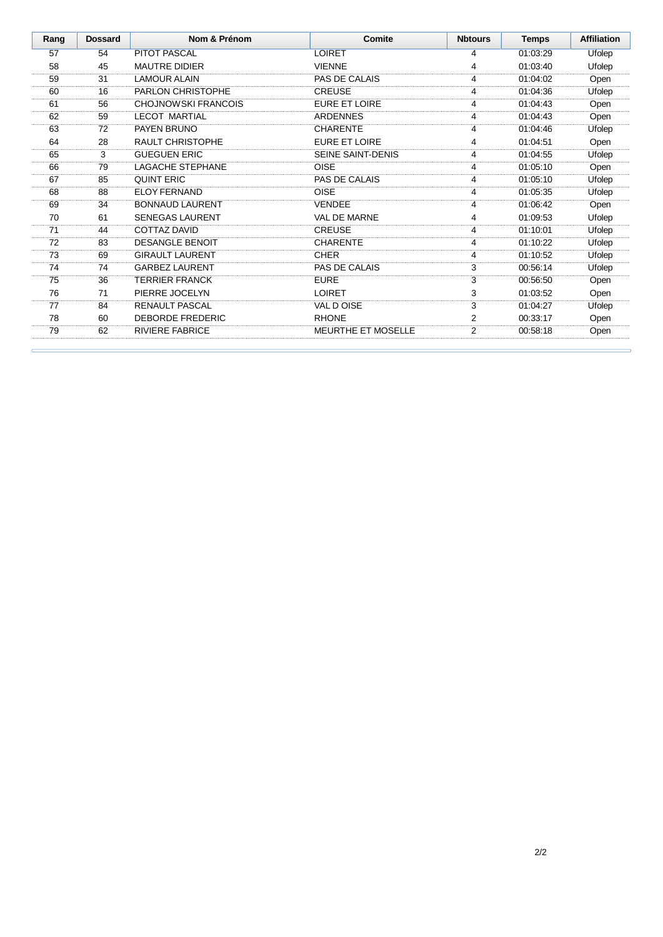| Rang | <b>Dossard</b> | Nom & Prénom               | Comite                    | <b>Nbtours</b> | <b>Temps</b> | <b>Affiliation</b> |
|------|----------------|----------------------------|---------------------------|----------------|--------------|--------------------|
| 57   | 54             | <b>PITOT PASCAL</b>        | <b>LOIRET</b>             | 4              | 01:03:29     | Ufolep             |
| 58   | 45             | <b>MAUTRE DIDIER</b>       | <b>VIENNE</b>             | 4              | 01:03:40     | Ufolep             |
| 59   | 31             | <b>LAMOUR ALAIN</b>        | PAS DE CALAIS             | 4              | 01:04:02     | Open               |
| 60   | 16             | PARLON CHRISTOPHE          | <b>CREUSE</b>             | 4              | 01:04:36     | Ufolep             |
| 61   | 56             | <b>CHOJNOWSKI FRANCOIS</b> | <b>EURE ET LOIRE</b>      | 4              | 01:04:43     | Open               |
| 62   | 59             | <b>LECOT MARTIAL</b>       | <b>ARDENNES</b>           | 4              | 01:04:43     | Open               |
| 63   | 72             | PAYEN BRUNO                | <b>CHARENTE</b>           | 4              | 01:04:46     | Ufolep             |
| 64   | 28             | <b>RAULT CHRISTOPHE</b>    | <b>EURE ET LOIRE</b>      | 4              | 01:04:51     | Open               |
| 65   | 3              | <b>GUEGUEN ERIC</b>        | <b>SEINE SAINT-DENIS</b>  | 4              | 01:04:55     | Ufolep             |
| 66   | 79             | <b>LAGACHE STEPHANE</b>    | <b>OISE</b>               | 4              | 01:05:10     | Open               |
| 67   | 85             | <b>QUINT ERIC</b>          | PAS DE CALAIS             | 4              | 01:05:10     | Ufolep             |
| 68   | 88             | <b>ELOY FERNAND</b>        | <b>OISE</b>               | 4              | 01:05:35     | Ufolep             |
| 69   | 34             | <b>BONNAUD LAURENT</b>     | <b>VENDEE</b>             | 4              | 01:06:42     | Open               |
| 70   | 61             | <b>SENEGAS LAURENT</b>     | VAL DE MARNE              | 4              | 01:09:53     | Ufolep             |
| 71   | 44             | <b>COTTAZ DAVID</b>        | <b>CREUSE</b>             | 4              | 01:10:01     | Ufolep             |
| 72   | 83             | <b>DESANGLE BENOIT</b>     | <b>CHARENTE</b>           | 4              | 01:10:22     | Ufolep             |
| 73   | 69             | <b>GIRAULT LAURENT</b>     | <b>CHER</b>               | 4              | 01:10:52     | Ufolep             |
| 74   | 74             | <b>GARBEZ LAURENT</b>      | PAS DE CALAIS             | 3              | 00:56:14     | Ufolep             |
| 75   | 36             | <b>TERRIER FRANCK</b>      | <b>EURE</b>               | 3              | 00:56:50     | Open               |
| 76   | 71             | PIERRE JOCELYN             | <b>LOIRET</b>             | 3              | 01:03:52     | Open               |
| 77   | 84             | <b>RENAULT PASCAL</b>      | VAL D OISE                | 3              | 01:04:27     | Ufolep             |
| 78   | 60             | <b>DEBORDE FREDERIC</b>    | <b>RHONE</b>              | 2              | 00:33:17     | Open               |
| 79   | 62             | <b>RIVIERE FABRICE</b>     | <b>MEURTHE ET MOSELLE</b> | 2              | 00:58:18     | Open               |
|      |                |                            |                           |                |              |                    |

 $\epsilon$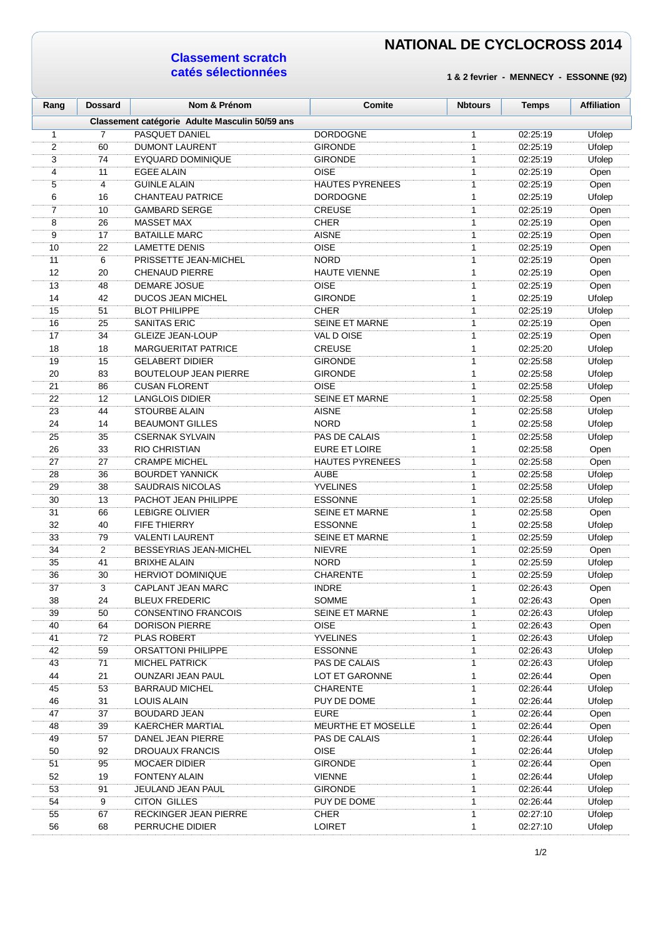### **Classement scratch catés sélectionnées**

| Rang           | <b>Dossard</b> | Nom & Prénom                                    | Comite                         | <b>Nbtours</b> | <b>Temps</b> | <b>Affiliation</b> |
|----------------|----------------|-------------------------------------------------|--------------------------------|----------------|--------------|--------------------|
|                |                | Classement catégorie Adulte Masculin 50/59 ans  |                                |                |              |                    |
| $\mathbf{1}$   | $\overline{7}$ | PASQUET DANIEL                                  | <b>DORDOGNE</b>                | 1              | 02:25:19     | Ufolep             |
| $\overline{c}$ | 60             | <b>DUMONT LAURENT</b>                           | <b>GIRONDE</b>                 | $\mathbf{1}$   | 02:25:19     | Ufolep             |
| 3              | 74             | <b>EYQUARD DOMINIQUE</b>                        | <b>GIRONDE</b>                 | $\mathbf{1}$   | 02:25:19     | Ufolep             |
| 4              | 11             | <b>EGEE ALAIN</b>                               | <b>OISE</b>                    | $\mathbf{1}$   | 02:25:19     | Open               |
| 5              | 4              | <b>GUINLE ALAIN</b>                             | <b>HAUTES PYRENEES</b>         | $\mathbf{1}$   | 02:25:19     | Open               |
| 6              | 16             | <b>CHANTEAU PATRICE</b>                         | <b>DORDOGNE</b>                | 1              | 02:25:19     | Ufolep             |
| $\overline{7}$ | 10             | <b>GAMBARD SERGE</b>                            | <b>CREUSE</b>                  | 1              | 02:25:19     | Open               |
| 8              | 26             | <b>MASSET MAX</b>                               | <b>CHER</b>                    | 1              | 02:25:19     | Open               |
| 9              | 17             | <b>BATAILLE MARC</b>                            | <b>AISNE</b>                   | 1              | 02:25:19     | Open               |
| 10             | 22             | <b>LAMETTE DENIS</b>                            | <b>OISE</b>                    | $\mathbf{1}$   | 02:25:19     | Open               |
| 11             | 6              | PRISSETTE JEAN-MICHEL                           | <b>NORD</b>                    | $\mathbf{1}$   | 02:25:19     | Open               |
| 12             | 20             | <b>CHENAUD PIERRE</b>                           | <b>HAUTE VIENNE</b>            | 1              | 02:25:19     | Open               |
| 13             | 48             | DEMARE JOSUE                                    | <b>OISE</b>                    | $\mathbf{1}$   | 02:25:19     | Open               |
| 14             | 42             | <b>DUCOS JEAN MICHEL</b>                        | <b>GIRONDE</b>                 | $\mathbf{1}$   | 02:25:19     | Ufolep             |
| 15             | 51             | <b>BLOT PHILIPPE</b>                            | <b>CHER</b>                    | 1              | 02:25:19     | Ufolep             |
| 16             | 25             | <b>SANITAS ERIC</b>                             | <b>SEINE ET MARNE</b>          | 1              | 02:25:19     | Open               |
| 17             | 34             | <b>GLEIZE JEAN-LOUP</b>                         | VAL D OISE                     | 1              | 02:25:19     | Open               |
| 18             | 18             | <b>MARGUERITAT PATRICE</b>                      | <b>CREUSE</b>                  | 1              | 02:25:20     | Ufolep             |
| 19             | 15             | <b>GELABERT DIDIER</b>                          | <b>GIRONDE</b>                 | 1              | 02:25:58     | Ufolep             |
| 20             | 83             | <b>BOUTELOUP JEAN PIERRE</b>                    | <b>GIRONDE</b>                 | 1              | 02:25:58     | Ufolep             |
| 21             | 86             | <b>CUSAN FLORENT</b>                            | <b>OISE</b>                    | 1              | 02:25:58     | Ufolep             |
| 22             | 12             | <b>LANGLOIS DIDIER</b>                          | <b>SEINE ET MARNE</b>          | $\mathbf{1}$   | 02:25:58     | Open               |
| 23             | 44             | <b>STOURBE ALAIN</b>                            | <b>AISNE</b>                   | 1              | 02:25:58     | Ufolep             |
| 24             | 14             | <b>BEAUMONT GILLES</b>                          | <b>NORD</b>                    | 1              | 02:25:58     | Ufolep             |
| 25             | 35             | <b>CSERNAK SYLVAIN</b>                          | PAS DE CALAIS                  | 1              | 02:25:58     | Ufolep             |
| 26             | 33             | <b>RIO CHRISTIAN</b>                            | EURE ET LOIRE                  | 1              | 02:25:58     | Open               |
| 27             | 27             | <b>CRAMPE MICHEL</b>                            | <b>HAUTES PYRENEES</b>         | 1              | 02:25:58     | Open               |
| 28             | 36             | <b>BOURDET YANNICK</b>                          | <b>AUBE</b>                    | 1              | 02:25:58     | Ufolep             |
| 29             | 38             | <b>SAUDRAIS NICOLAS</b>                         | <b>YVELINES</b>                | 1              | 02:25:58     | Ufolep             |
| 30             | 13             | PACHOT JEAN PHILIPPE                            | <b>ESSONNE</b>                 | 1              | 02:25:58     | Ufolep             |
| 31             | 66             | <b>LEBIGRE OLIVIER</b>                          | <b>SEINE ET MARNE</b>          | $\mathbf{1}$   | 02:25:58     |                    |
| 32             | 40             | <b>FIFE THIERRY</b>                             | <b>ESSONNE</b>                 | $\mathbf{1}$   | 02:25:58     | Open               |
|                |                |                                                 |                                | 1              |              | Ufolep             |
| 33             | 79             | <b>VALENTI LAURENT</b>                          | <b>SEINE ET MARNE</b>          |                | 02:25:59     | Ufolep             |
| 34             | 2              | BESSEYRIAS JEAN-MICHEL                          | <b>NIEVRE</b>                  | 1              | 02:25:59     | Open               |
| 35<br>36       | 41<br>30       | <b>BRIXHE ALAIN</b><br><b>HERVIOT DOMINIQUE</b> | <b>NORD</b><br><b>CHARENTE</b> | 1<br>1         | 02:25:59     | Ufolep             |
|                |                |                                                 |                                |                | 02:25:59     | Ufolep             |
| 37             | 3              | CAPLANT JEAN MARC                               | <b>INDRE</b>                   | 1              | 02:26:43     | Open               |
| 38             | 24             | <b>BLEUX FREDERIC</b>                           | <b>SOMME</b>                   | $\mathbf{1}$   | 02:26:43     | Open               |
| 39             | 50             | <b>CONSENTINO FRANCOIS</b>                      | <b>SEINE ET MARNE</b>          | 1              | 02:26:43     | Ufolep             |
| 40             | 64             | <b>DORISON PIERRE</b>                           | <b>OISE</b>                    | 1              | 02:26:43     | Open               |
| 41             | 72             | PLAS ROBERT                                     | <b>YVELINES</b>                | 1              | 02:26:43     | Ufolep             |
| 42             | 59             | ORSATTONI PHILIPPE                              | <b>ESSONNE</b>                 | 1              | 02:26:43     | Ufolep             |
| 43             | 71             | <b>MICHEL PATRICK</b>                           | PAS DE CALAIS                  | 1              | 02:26:43     | Ufolep             |
| 44             | 21             | OUNZARI JEAN PAUL                               | LOT ET GARONNE                 | 1              | 02:26:44     | Open               |
| 45             | 53             | <b>BARRAUD MICHEL</b>                           | <b>CHARENTE</b>                | 1              | 02:26:44     | Ufolep             |
| 46             | 31             | LOUIS ALAIN                                     | PUY DE DOME                    | 1              | 02:26:44     | Ufolep             |
| 47             | 37             | <b>BOUDARD JEAN</b>                             | <b>EURE</b>                    | $\mathbf{1}$   | 02:26:44     | Open               |
| 48             | 39             | <b>KAERCHER MARTIAL</b>                         | MEURTHE ET MOSELLE             | 1              | 02:26:44     | Open               |
| 49             | 57             | DANEL JEAN PIERRE                               | PAS DE CALAIS                  | $\mathbf{1}$   | 02:26:44     | Ufolep             |
| 50             | 92             | DROUAUX FRANCIS                                 | <b>OISE</b>                    | 1              | 02:26:44     | Ufolep             |
| 51             | 95             | <b>MOCAER DIDIER</b>                            | <b>GIRONDE</b>                 | 1              | 02:26:44     | Open               |
| 52             | 19             | <b>FONTENY ALAIN</b>                            | <b>VIENNE</b>                  | 1              | 02:26:44     | Ufolep             |
| 53             | 91             | JEULAND JEAN PAUL                               | <b>GIRONDE</b>                 | 1              | 02:26:44     | Ufolep             |
| 54             | 9              | <b>CITON GILLES</b>                             | PUY DE DOME                    | $\mathbf{1}$   | 02:26:44     | Ufolep             |
| 55             | 67             | RECKINGER JEAN PIERRE                           | <b>CHER</b>                    | $\mathbf{1}$   | 02:27:10     | Ufolep             |
| 56             | 68             | PERRUCHE DIDIER                                 | <b>LOIRET</b>                  | $\mathbf{1}$   | 02:27:10     | Ufolep             |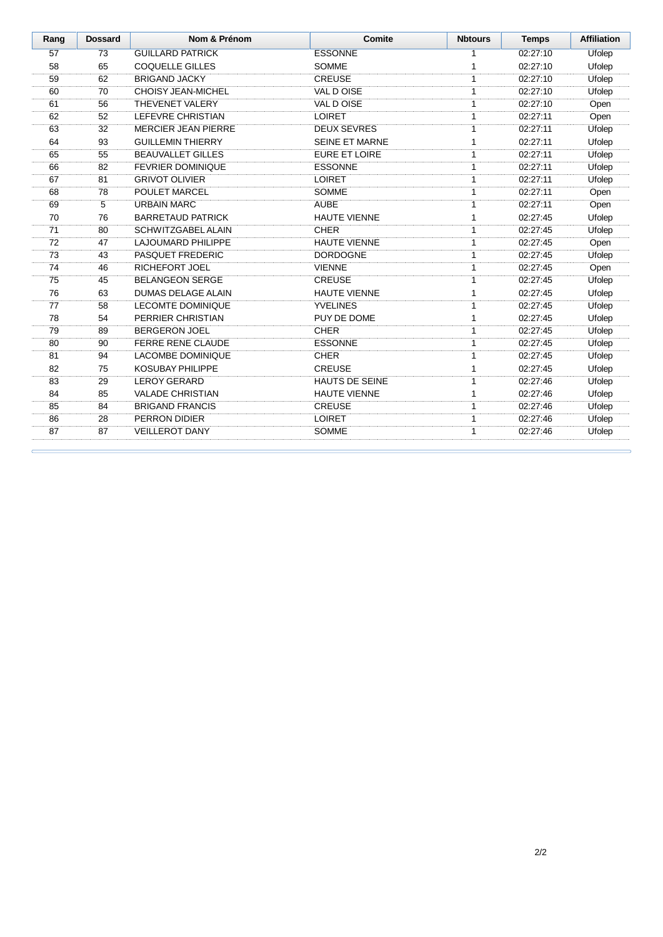| Rang | <b>Dossard</b> | Nom & Prénom               | Comite                | <b>Nbtours</b> | <b>Temps</b> | <b>Affiliation</b> |
|------|----------------|----------------------------|-----------------------|----------------|--------------|--------------------|
| 57   | 73             | <b>GUILLARD PATRICK</b>    | <b>ESSONNE</b>        | 1              | 02:27:10     | Ufolep             |
| 58   | 65             | <b>COQUELLE GILLES</b>     | <b>SOMME</b>          | 1              | 02:27:10     | Ufolep             |
| 59   | 62             | <b>BRIGAND JACKY</b>       | <b>CREUSE</b>         | $\mathbf{1}$   | 02:27:10     | Ufolep             |
| 60   | 70             | <b>CHOISY JEAN-MICHEL</b>  | VAL D OISE            | 1              | 02:27:10     | Ufolep             |
| 61   | 56             | THEVENET VALERY            | VAL DOISE             | 1              | 02:27:10     | Open               |
| 62   | 52             | LEFEVRE CHRISTIAN          | <b>LOIRET</b>         | 1              | 02:27:11     | Open               |
| 63   | 32             | <b>MERCIER JEAN PIERRE</b> | <b>DEUX SEVRES</b>    | $\mathbf{1}$   | 02:27:11     | Ufolep             |
| 64   | 93             | <b>GUILLEMIN THIERRY</b>   | <b>SEINE ET MARNE</b> | 1              | 02:27:11     | Ufolep             |
| 65   | 55             | <b>BEAUVALLET GILLES</b>   | <b>EURE ET LOIRE</b>  | 1              | 02:27:11     | Ufolep             |
| 66   | 82             | <b>FEVRIER DOMINIQUE</b>   | <b>ESSONNE</b>        | 1              | 02:27:11     | Ufolep             |
| 67   | 81             | <b>GRIVOT OLIVIER</b>      | <b>LOIRET</b>         | 1              | 02:27:11     | Ufolep             |
| 68   | 78             | POULET MARCEL              | <b>SOMME</b>          | 1              | 02:27:11     | Open               |
| 69   | 5              | <b>URBAIN MARC</b>         | <b>AUBE</b>           | 1              | 02:27:11     | Open               |
| 70   | 76             | <b>BARRETAUD PATRICK</b>   | <b>HAUTE VIENNE</b>   | 1              | 02:27:45     | Ufolep             |
| 71   | 80             | SCHWITZGABEL ALAIN         | <b>CHER</b>           | 1              | 02:27:45     | Ufolep             |
| 72   | 47             | LAJOUMARD PHILIPPE         | <b>HAUTE VIENNE</b>   | 1              | 02:27:45     | Open               |
| 73   | 43             | PASQUET FREDERIC           | <b>DORDOGNE</b>       | 1              | 02:27:45     | Ufolep             |
| 74   | 46             | <b>RICHEFORT JOEL</b>      | <b>VIENNE</b>         | 1              | 02:27:45     | Open               |
| 75   | 45             | <b>BELANGEON SERGE</b>     | <b>CREUSE</b>         | $\mathbf{1}$   | 02:27:45     | Ufolep             |
| 76   | 63             | <b>DUMAS DELAGE ALAIN</b>  | <b>HAUTE VIENNE</b>   | 1              | 02:27:45     | Ufolep             |
| 77   | 58             | <b>LECOMTE DOMINIQUE</b>   | <b>YVELINES</b>       | 1              | 02:27:45     | Ufolep             |
| 78   | 54             | PERRIER CHRISTIAN          | PUY DE DOME           | 1              | 02:27:45     | Ufolep             |
| 79   | 89             | <b>BERGERON JOEL</b>       | <b>CHER</b>           | $\mathbf{1}$   | 02:27:45     | Ufolep             |
| 80   | 90             | <b>FERRE RENE CLAUDE</b>   | <b>ESSONNE</b>        | 1              | 02:27:45     | Ufolep             |
| 81   | 94             | <b>LACOMBE DOMINIQUE</b>   | <b>CHER</b>           | 1              | 02:27:45     | Ufolep             |
| 82   | 75             | <b>KOSUBAY PHILIPPE</b>    | <b>CREUSE</b>         | 1              | 02:27:45     | Ufolep             |
| 83   | 29             | <b>LEROY GERARD</b>        | <b>HAUTS DE SEINE</b> | 1              | 02:27:46     | Ufolep             |
| 84   | 85             | <b>VALADE CHRISTIAN</b>    | <b>HAUTE VIENNE</b>   | $\mathbf{1}$   | 02:27:46     | Ufolep             |
| 85   | 84             | <b>BRIGAND FRANCIS</b>     | <b>CREUSE</b>         | 1              | 02:27:46     | Ufolep             |
| 86   | 28             | PERRON DIDIER              | <b>LOIRET</b>         | 1              | 02:27:46     | Ufolep             |
| 87   | 87             | <b>VEILLEROT DANY</b>      | <b>SOMME</b>          | 1              | 02:27:46     | Ufolep             |

 $\epsilon$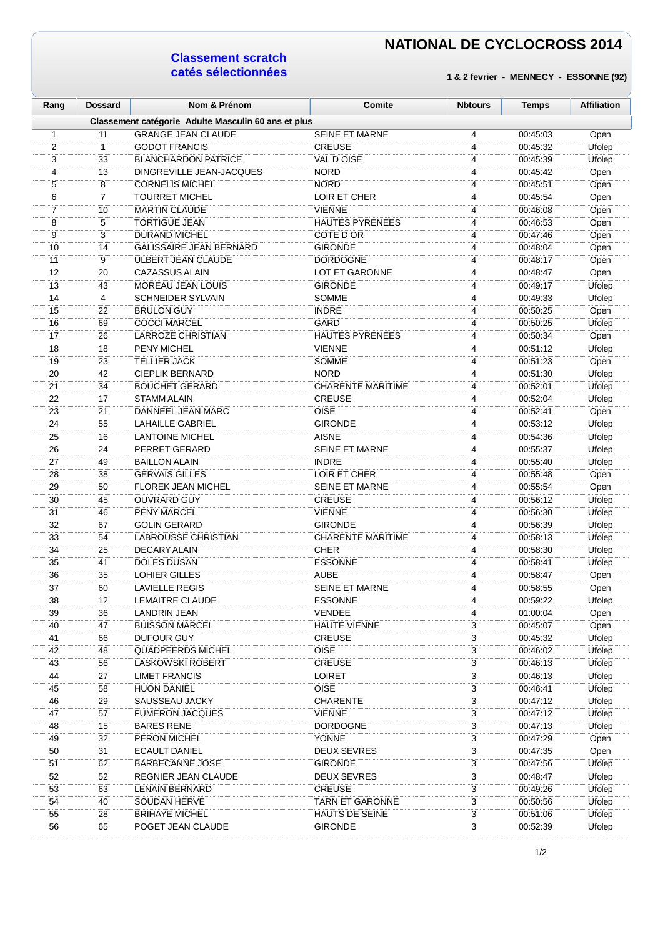### **Classement scratch catés sélectionnées**

| Rang | <b>Dossard</b> | Nom & Prénom                                        | Comite                   | <b>Nbtours</b> | <b>Temps</b> | <b>Affiliation</b> |
|------|----------------|-----------------------------------------------------|--------------------------|----------------|--------------|--------------------|
|      |                | Classement catégorie Adulte Masculin 60 ans et plus |                          |                |              |                    |
| 1    | 11             | <b>GRANGE JEAN CLAUDE</b>                           | <b>SEINE ET MARNE</b>    | 4              | 00:45:03     | Open               |
| 2    | $\mathbf{1}$   | <b>GODOT FRANCIS</b>                                | <b>CREUSE</b>            | 4              | 00:45:32     | Ufolep             |
| 3    | 33             | <b>BLANCHARDON PATRICE</b>                          | VAL DOISE                | 4              | 00:45:39     | Ufolep             |
| 4    | 13             | DINGREVILLE JEAN-JACQUES                            | <b>NORD</b>              | 4              | 00:45:42     | Open               |
| 5    | 8              | <b>CORNELIS MICHEL</b>                              | <b>NORD</b>              | 4              | 00:45:51     | Open               |
| 6    | $\overline{7}$ | <b>TOURRET MICHEL</b>                               | LOIR ET CHER             | 4              | 00:45:54     | Open               |
| 7    | 10             | <b>MARTIN CLAUDE</b>                                | <b>VIENNE</b>            | 4              | 00:46:08     | Open               |
| 8    | 5              | <b>TORTIGUE JEAN</b>                                | <b>HAUTES PYRENEES</b>   | 4              | 00:46:53     | Open               |
| 9    | 3              | <b>DURAND MICHEL</b>                                | COTE D OR                | 4              | 00:47:46     | Open               |
| 10   | 14             | <b>GALISSAIRE JEAN BERNARD</b>                      | <b>GIRONDE</b>           | 4              | 00:48:04     | Open               |
| 11   | 9              | ULBERT JEAN CLAUDE                                  | <b>DORDOGNE</b>          | 4              | 00:48:17     | Open               |
| 12   | 20             | <b>CAZASSUS ALAIN</b>                               | <b>LOT ET GARONNE</b>    | 4              | 00:48:47     | Open               |
| 13   | 43             | <b>MOREAU JEAN LOUIS</b>                            | <b>GIRONDE</b>           | 4              | 00:49:17     | Ufolep             |
| 14   | 4              | <b>SCHNEIDER SYLVAIN</b>                            | <b>SOMME</b>             | 4              | 00:49:33     | Ufolep             |
| 15   | 22             | <b>BRULON GUY</b>                                   | <b>INDRE</b>             | 4              | 00:50:25     | Open               |
| 16   | 69             | <b>COCCI MARCEL</b>                                 | GARD                     | 4              | 00:50:25     | Ufolep             |
| 17   | 26             | LARROZE CHRISTIAN                                   | <b>HAUTES PYRENEES</b>   | 4              | 00:50:34     | Open               |
| 18   | 18             | <b>PENY MICHEL</b>                                  | <b>VIENNE</b>            | 4              | 00:51:12     | Ufolep             |
| 19   | 23             | <b>TELLIER JACK</b>                                 | <b>SOMME</b>             | 4              | 00:51:23     | Open               |
| 20   | 42             | <b>CIEPLIK BERNARD</b>                              | <b>NORD</b>              | 4              | 00:51:30     | Ufolep             |
| 21   | 34             | <b>BOUCHET GERARD</b>                               | <b>CHARENTE MARITIME</b> | 4              | 00:52:01     | Ufolep             |
| 22   | 17             | <b>STAMM ALAIN</b>                                  | <b>CREUSE</b>            | 4              | 00:52:04     | Ufolep             |
| 23   | 21             | DANNEEL JEAN MARC                                   | OISE                     | 4              | 00:52:41     | Open               |
| 24   | 55             | <b>LAHAILLE GABRIEL</b>                             | <b>GIRONDE</b>           | 4              | 00:53:12     | Ufolep             |
| 25   | 16             | <b>LANTOINE MICHEL</b>                              | <b>AISNE</b>             | $\overline{4}$ | 00:54:36     | Ufolep             |
| 26   | 24             | PERRET GERARD                                       | <b>SEINE ET MARNE</b>    | 4              | 00:55:37     | Ufolep             |
| 27   | 49             | <b>BAILLON ALAIN</b>                                | <b>INDRE</b>             | 4              | 00:55:40     | Ufolep             |
| 28   | 38             | <b>GERVAIS GILLES</b>                               | LOIR ET CHER             | 4              | 00:55:48     | Open               |
| 29   | 50             | <b>FLOREK JEAN MICHEL</b>                           | <b>SEINE ET MARNE</b>    | 4              | 00:55:54     | Open               |
| 30   | 45             | <b>OUVRARD GUY</b>                                  | <b>CREUSE</b>            | 4              | 00:56:12     | Ufolep             |
| 31   | 46             | PENY MARCEL                                         | <b>VIENNE</b>            | 4              | 00:56:30     | Ufolep             |
| 32   | 67             | <b>GOLIN GERARD</b>                                 | <b>GIRONDE</b>           | 4              | 00:56:39     | Ufolep             |
| 33   | 54             | <b>LABROUSSE CHRISTIAN</b>                          | <b>CHARENTE MARITIME</b> | 4              | 00:58:13     | Ufolep             |
| 34   | 25             | <b>DECARY ALAIN</b>                                 | <b>CHER</b>              | 4              | 00:58:30     | Ufolep             |
| 35   | 41             | <b>DOLES DUSAN</b>                                  | <b>ESSONNE</b>           | 4              | 00:58:41     | Ufolep             |
| 36   | 35             | <b>LOHIER GILLES</b>                                | <b>AUBE</b>              | 4              | 00.58:47     | Open               |
| 37   | 60             | <b>LAVIELLE REGIS</b>                               | <b>SEINE ET MARNE</b>    | 4              | 00:58:55     | Open               |
| 38   | 12             | <b>LEMAITRE CLAUDE</b>                              | <b>ESSONNE</b>           | 4              | 00:59:22     | Ufolep             |
| 39   | 36             | LANDRIN JEAN                                        | <b>VENDEE</b>            | 4              | 01:00:04     | Open               |
| 40   | 47             | <b>BUISSON MARCEL</b>                               | <b>HAUTE VIENNE</b>      | 3              | 00:45:07     | Open               |
| 41   | 66             | DUFOUR GUY                                          | <b>CREUSE</b>            | 3              | 00:45:32     | Ufolep             |
| 42   | 48             | <b>QUADPEERDS MICHEL</b>                            | <b>OISE</b>              | 3              | 00:46:02     | Ufolep             |
| 43   | 56             | <b>LASKOWSKI ROBERT</b>                             | <b>CREUSE</b>            | 3              | 00:46:13     | Ufolep             |
| 44   | 27             | <b>LIMET FRANCIS</b>                                | <b>LOIRET</b>            | 3              | 00:46:13     | Ufolep             |
| 45   | 58             | <b>HUON DANIEL</b>                                  | <b>OISE</b>              | 3              | 00:46:41     | Ufolep             |
| 46   | 29             | SAUSSEAU JACKY                                      | <b>CHARENTE</b>          | 3              | 00:47:12     | Ufolep             |
| 47   | 57             | <b>FUMERON JACQUES</b>                              | <b>VIENNE</b>            | 3              | 00:47:12     | Ufolep             |
| 48   | 15             | <b>BARES RENE</b>                                   | <b>DORDOGNE</b>          | 3              | 00:47:13     | Ufolep             |
| 49   | 32             | PERON MICHEL                                        | <b>YONNE</b>             | 3              | 00:47:29     | Open               |
| 50   | 31             | <b>ECAULT DANIEL</b>                                | <b>DEUX SEVRES</b>       | 3              | 00:47:35     | Open               |
| 51   | 62             | <b>BARBECANNE JOSE</b>                              | <b>GIRONDE</b>           | 3              | 00:47:56     | Ufolep             |
| 52   | 52             | REGNIER JEAN CLAUDE                                 | <b>DEUX SEVRES</b>       | 3              | 00:48:47     | Ufolep             |
| 53   | 63             | <b>LENAIN BERNARD</b>                               | <b>CREUSE</b>            | 3              | 00:49:26     | Ufolep             |
| 54   | 40             | SOUDAN HERVE                                        | <b>TARN ET GARONNE</b>   | 3              | 00:50:56     | Ufolep             |
| 55   | 28             | <b>BRIHAYE MICHEL</b>                               | <b>HAUTS DE SEINE</b>    | 3              | 00:51:06     | Ufolep             |
| 56   | 65             | POGET JEAN CLAUDE                                   | <b>GIRONDE</b>           | 3              | 00:52:39     | Ufolep             |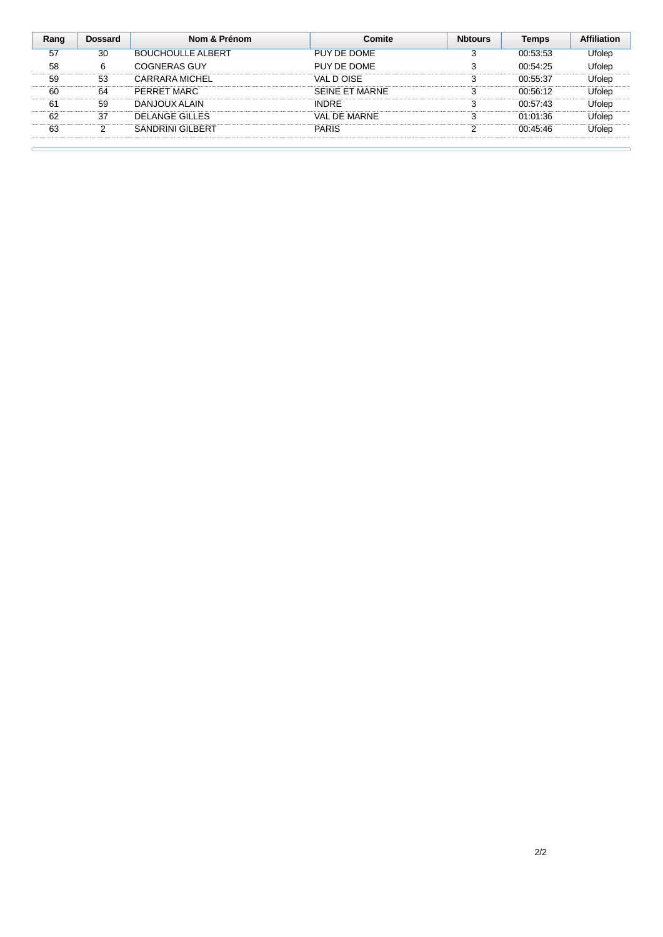| Rang | Dossard | Nom & Prénom             | <b>Comite</b>  | <b>Nhtours</b> | Temps    | <b>Affiliation</b> |
|------|---------|--------------------------|----------------|----------------|----------|--------------------|
| 57   | 30      | <b>BOUCHOULLE ALBERT</b> | PUY DE DOME    |                | 00:53:53 | Ufolep             |
| 58   | 6       | COGNERAS GUY             | PUY DE DOME    |                | 00:54:25 | Ufolep             |
| 59   | 53      | CARRARA MICHEL           | VAL DOISE      |                | 00:55:37 | Ufolep             |
| 60   | 64      | PERRET MARC              | SFINE FT MARNE |                | 00:56:12 | Ufolep             |
| 61   | 59      | DANJOUX ALAIN            | <b>INDRF</b>   |                | 00:57:43 | Ufolep             |
| 62   | 37      | DELANGE GILLES           | VAI DE MARNE   |                | 01:01:36 | Ufolep             |
| 63   | C       | <b>SANDRINI GILBERT</b>  | <b>PARIS</b>   | າ              | 00.45.46 | Ufolep             |

**C**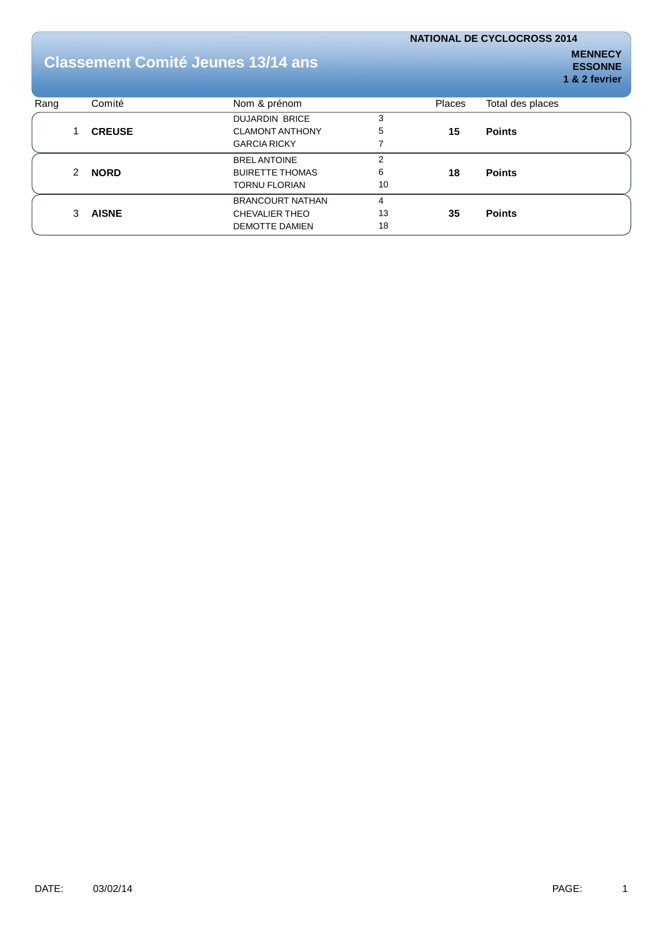# **Classement Comité Jeunes 13/14 ans**

| Rang |   | Comité        | Nom & prénom            |    | <b>Places</b> | Total des places |
|------|---|---------------|-------------------------|----|---------------|------------------|
|      |   |               | <b>DUJARDIN BRICE</b>   | 3  |               |                  |
|      |   | <b>CREUSE</b> | <b>CLAMONT ANTHONY</b>  | 5  | 15            | <b>Points</b>    |
|      |   |               | <b>GARCIA RICKY</b>     |    |               |                  |
|      |   |               | <b>BRELANTOINE</b>      | っ  |               |                  |
|      | 2 | <b>NORD</b>   | <b>BUIRETTE THOMAS</b>  | 6  | 18            | <b>Points</b>    |
|      |   |               | <b>TORNU FLORIAN</b>    | 10 |               |                  |
|      |   |               | <b>BRANCOURT NATHAN</b> | 4  |               |                  |
|      | 3 | <b>AISNE</b>  | <b>CHEVALIER THEO</b>   | 13 | 35            | <b>Points</b>    |
|      |   |               | DEMOTTE DAMIEN          | 18 |               |                  |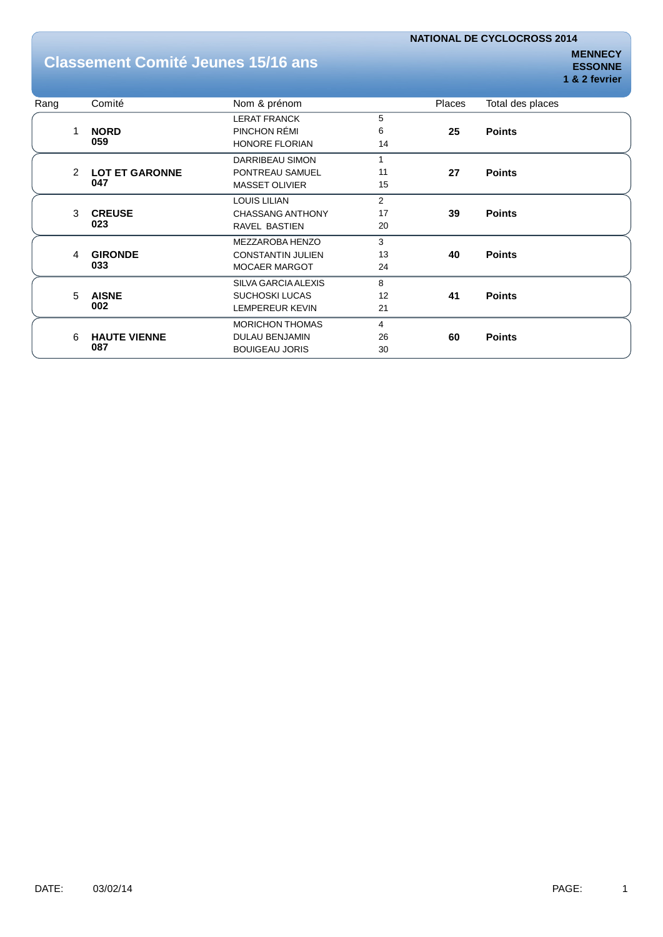## **Classement Comité Jeunes 15/16 ans**

| Rang |               | Comité                | Nom & prénom             |                | Places | Total des places |
|------|---------------|-----------------------|--------------------------|----------------|--------|------------------|
|      |               |                       | <b>LERAT FRANCK</b>      | 5              |        |                  |
|      | 1             | <b>NORD</b>           | PINCHON RÉMI             | 6              | 25     | <b>Points</b>    |
|      |               | 059                   | <b>HONORE FLORIAN</b>    | 14             |        |                  |
|      |               |                       | DARRIBEAU SIMON          | 1              |        |                  |
|      | $\mathcal{P}$ | <b>LOT ET GARONNE</b> | PONTREAU SAMUEL          | 11             | 27     | <b>Points</b>    |
|      |               | 047                   | <b>MASSET OLIVIER</b>    | 15             |        |                  |
|      |               |                       | <b>LOUIS LILIAN</b>      | $\overline{2}$ |        |                  |
|      | 3             | <b>CREUSE</b>         | <b>CHASSANG ANTHONY</b>  | 17             | 39     | <b>Points</b>    |
|      | 023           |                       | <b>RAVEL BASTIEN</b>     | 20             |        |                  |
|      |               |                       | MEZZAROBA HENZO          | 3              |        |                  |
|      | 4             | <b>GIRONDE</b>        | <b>CONSTANTIN JULIEN</b> | 13             | 40     | <b>Points</b>    |
|      |               | 033                   | <b>MOCAER MARGOT</b>     | 24             |        |                  |
|      |               |                       | SILVA GARCIA ALEXIS      | 8              |        |                  |
|      | 5             | <b>AISNE</b>          | <b>SUCHOSKI LUCAS</b>    | 12             | 41     | <b>Points</b>    |
|      |               | 002                   | <b>LEMPEREUR KEVIN</b>   | 21             |        |                  |
|      |               |                       | <b>MORICHON THOMAS</b>   | 4              |        |                  |
|      | 6             | <b>HAUTE VIENNE</b>   | <b>DULAU BENJAMIN</b>    | 26             | 60     | <b>Points</b>    |
|      |               | 087                   | <b>BOUIGEAU JORIS</b>    | 30             |        |                  |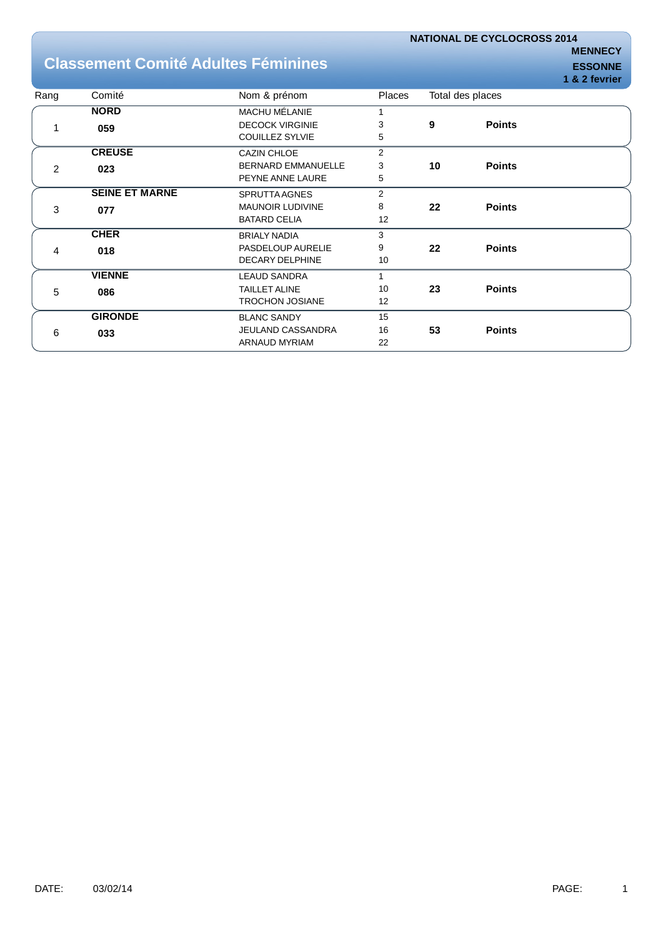## **Classement Comité Adultes Féminines EXAMPLE ESSONNE**

|      |                       |                           |                |    |                  | . |
|------|-----------------------|---------------------------|----------------|----|------------------|---|
| Rang | Comité                | Nom & prénom              | Places         |    | Total des places |   |
|      | <b>NORD</b>           | <b>MACHU MÉLANIE</b>      |                |    |                  |   |
|      | 059                   | <b>DECOCK VIRGINIE</b>    | 3              | 9  | <b>Points</b>    |   |
|      |                       | <b>COUILLEZ SYLVIE</b>    | 5              |    |                  |   |
|      | <b>CREUSE</b>         | <b>CAZIN CHLOE</b>        | $\overline{2}$ |    |                  |   |
| 2    | 023                   | <b>BERNARD EMMANUELLE</b> | 3              | 10 | <b>Points</b>    |   |
|      |                       | PEYNE ANNE LAURE          | 5              |    |                  |   |
|      | <b>SEINE ET MARNE</b> | SPRUTTA AGNES             | $\overline{2}$ |    |                  |   |
| 3    | 077                   | <b>MAUNOIR LUDIVINE</b>   | 8              | 22 | <b>Points</b>    |   |
|      |                       | <b>BATARD CELIA</b>       | 12             |    |                  |   |
|      | <b>CHER</b>           | <b>BRIALY NADIA</b>       | 3              |    |                  |   |
| 4    | 018                   | PASDELOUP AURELIE         | 9              | 22 | <b>Points</b>    |   |
|      |                       | <b>DECARY DELPHINE</b>    | 10             |    |                  |   |
|      | <b>VIENNE</b>         | <b>LEAUD SANDRA</b>       | 1              |    |                  |   |
| 5    | 086                   | <b>TAILLET ALINE</b>      | 10             | 23 | <b>Points</b>    |   |
|      |                       | <b>TROCHON JOSIANE</b>    | 12             |    |                  |   |
|      | <b>GIRONDE</b>        | <b>BLANC SANDY</b>        | 15             |    |                  |   |
| 6    | 033                   | <b>JEULAND CASSANDRA</b>  | 16             | 53 | <b>Points</b>    |   |
|      |                       | ARNAUD MYRIAM             | 22             |    |                  |   |
|      |                       |                           |                |    |                  |   |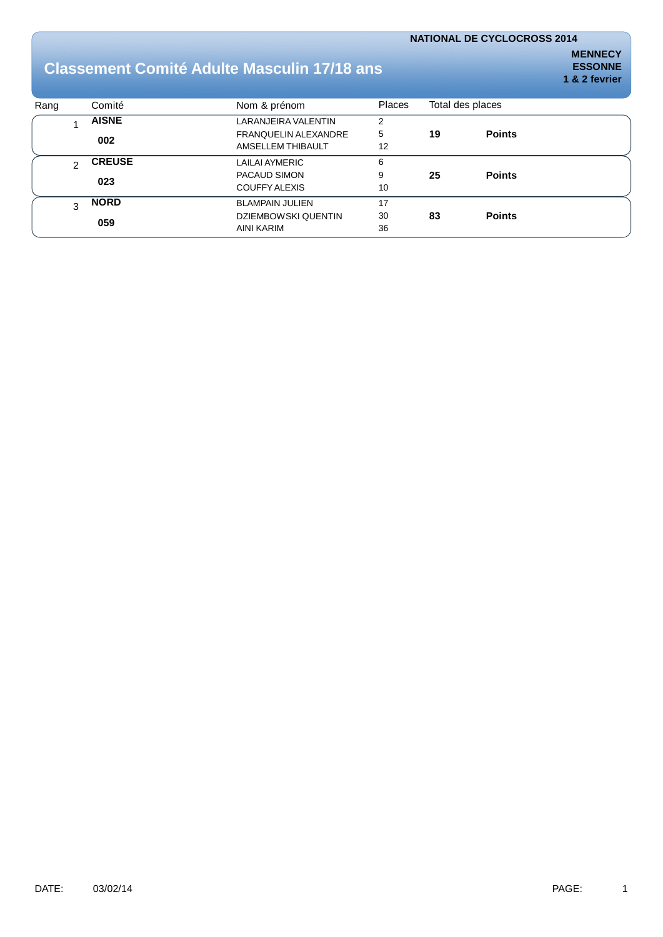## **Classement Comité Adulte Masculin 17/18 ans**

| Rang |     | Comité        | Nom & prénom                | <b>Places</b> | Total des places |               |
|------|-----|---------------|-----------------------------|---------------|------------------|---------------|
|      |     | <b>AISNE</b>  | <b>LARANJEIRA VALENTIN</b>  | 2             |                  |               |
|      |     |               | <b>FRANQUELIN ALEXANDRE</b> | 5             | 19               | <b>Points</b> |
|      | 002 |               | AMSELLEM THIBAULT           | 12            |                  |               |
|      | ⌒   | <b>CREUSE</b> | LAILAI AYMERIC              | 6             |                  |               |
|      |     | 023           | PACAUD SIMON                | 9             | 25               | <b>Points</b> |
|      |     |               | COUFFY ALEXIS               | 10            |                  |               |
|      | 3   | <b>NORD</b>   | <b>BLAMPAIN JULIEN</b>      | 17            |                  |               |
|      |     |               | <b>DZIEMBOWSKI QUENTIN</b>  | 30            | 83               | <b>Points</b> |
|      |     | 059           | AINI KARIM                  | 36            |                  |               |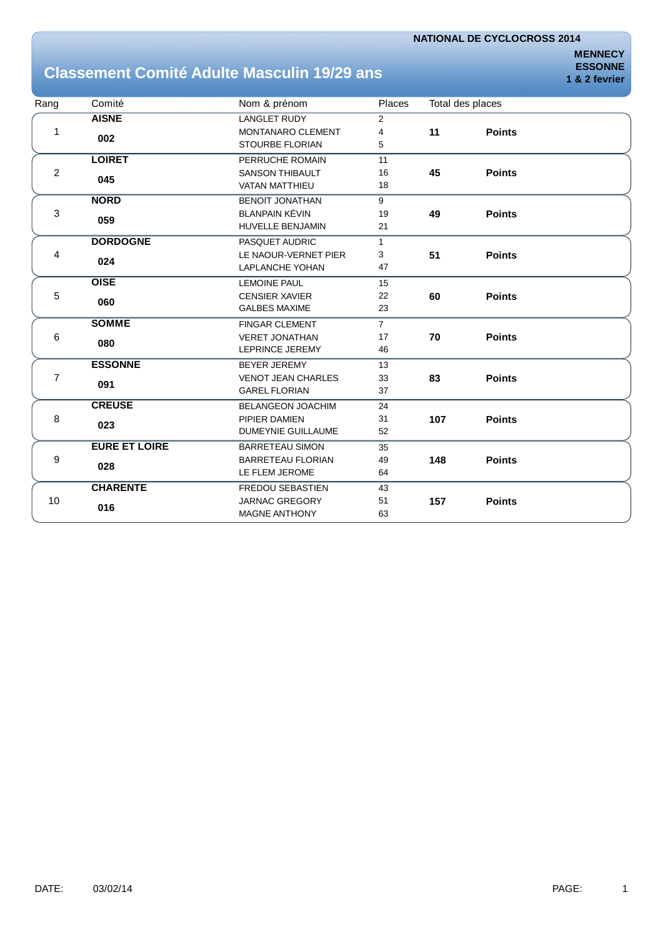# **Classement Comité Adulte Masculin 19/29 ans**

**MENNECY ESSONNE 1 & 2 fevrier**

| Rang | Comité               | Nom & prénom              | <b>Places</b>  | Total des places |               |  |
|------|----------------------|---------------------------|----------------|------------------|---------------|--|
|      | <b>AISNE</b>         | <b>LANGLET RUDY</b>       | $\overline{2}$ |                  |               |  |
| 1    |                      | MONTANARO CLEMENT         | 4              | 11               | <b>Points</b> |  |
|      | 002                  | <b>STOURBE FLORIAN</b>    | 5              |                  |               |  |
|      | <b>LOIRET</b>        | PERRUCHE ROMAIN           | 11             |                  |               |  |
| 2    | 045                  | <b>SANSON THIBAULT</b>    | 16             | 45               | <b>Points</b> |  |
|      |                      | <b>VATAN MATTHIEU</b>     | 18             |                  |               |  |
|      | <b>NORD</b>          | <b>BENOIT JONATHAN</b>    | 9              |                  |               |  |
| 3    | 059                  | <b>BLANPAIN KÉVIN</b>     | 19             | 49               | <b>Points</b> |  |
|      |                      | <b>HUVELLE BENJAMIN</b>   | 21             |                  |               |  |
|      | <b>DORDOGNE</b>      | PASQUET AUDRIC            | $\mathbf{1}$   |                  |               |  |
| 4    | 024                  | LE NAOUR-VERNET PIER      | 3              | 51               | <b>Points</b> |  |
|      |                      | <b>LAPLANCHE YOHAN</b>    | 47             |                  |               |  |
|      | <b>OISE</b>          | <b>LEMOINE PAUL</b>       | 15             |                  |               |  |
| 5    | 060                  | <b>CENSIER XAVIER</b>     | 22             | 60               | <b>Points</b> |  |
|      |                      | <b>GALBES MAXIME</b>      | 23             |                  |               |  |
|      | <b>SOMME</b>         | <b>FINGAR CLEMENT</b>     | $\overline{7}$ |                  |               |  |
| 6    | 080                  | <b>VERET JONATHAN</b>     | 17             | 70               | <b>Points</b> |  |
|      |                      | LEPRINCE JEREMY           | 46             |                  |               |  |
|      | <b>ESSONNE</b>       | <b>BEYER JEREMY</b>       | 13             |                  |               |  |
| 7    | 091                  | <b>VENOT JEAN CHARLES</b> | 33             | 83               | <b>Points</b> |  |
|      |                      | <b>GAREL FLORIAN</b>      | 37             |                  |               |  |
|      | <b>CREUSE</b>        | <b>BELANGEON JOACHIM</b>  | 24             |                  |               |  |
| 8    | 023                  | PIPIER DAMIEN             | 31             | 107              | <b>Points</b> |  |
|      |                      | <b>DUMEYNIE GUILLAUME</b> | 52             |                  |               |  |
|      | <b>EURE ET LOIRE</b> | <b>BARRETEAU SIMON</b>    | 35             |                  |               |  |
| 9    | 028                  | <b>BARRETEAU FLORIAN</b>  | 49             | 148              | <b>Points</b> |  |
|      |                      | LE FLEM JEROME            | 64             |                  |               |  |
|      | <b>CHARENTE</b>      | FREDOU SEBASTIEN          | 43             |                  |               |  |
| 10   | 016                  | <b>JARNAC GREGORY</b>     | 51             | 157              | <b>Points</b> |  |
|      |                      | <b>MAGNE ANTHONY</b>      | 63             |                  |               |  |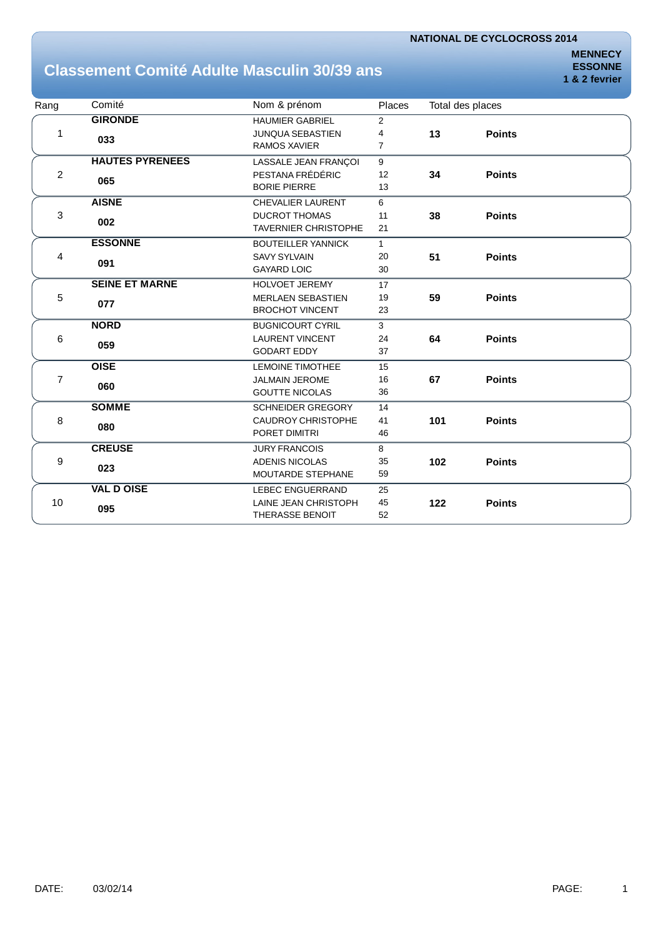# **Classement Comité Adulte Masculin 30/39 ans**

| Rang | Comité                 | Nom & prénom                | Places         | Total des places |               |
|------|------------------------|-----------------------------|----------------|------------------|---------------|
|      | <b>GIRONDE</b>         | <b>HAUMIER GABRIEL</b>      | $\overline{2}$ |                  |               |
| 1    | 033                    | <b>JUNQUA SEBASTIEN</b>     | $\overline{4}$ | 13               | <b>Points</b> |
|      |                        | <b>RAMOS XAVIER</b>         | $\overline{7}$ |                  |               |
|      | <b>HAUTES PYRENEES</b> | LASSALE JEAN FRANÇOI        | 9              |                  |               |
| 2    |                        | PESTANA FRÉDÉRIC            | 12             | 34               | <b>Points</b> |
|      | 065                    | <b>BORIE PIERRE</b>         | 13             |                  |               |
|      | <b>AISNE</b>           | <b>CHEVALIER LAURENT</b>    | 6              |                  |               |
| 3    | 002                    | <b>DUCROT THOMAS</b>        | 11             | 38               | <b>Points</b> |
|      |                        | <b>TAVERNIER CHRISTOPHE</b> | 21             |                  |               |
|      | <b>ESSONNE</b>         | <b>BOUTEILLER YANNICK</b>   | $\mathbf{1}$   |                  |               |
| 4    |                        | <b>SAVY SYLVAIN</b>         | 20             | 51               | <b>Points</b> |
|      | 091                    | <b>GAYARD LOIC</b>          | 30             |                  |               |
|      | <b>SEINE ET MARNE</b>  | <b>HOLVOET JEREMY</b>       | 17             |                  |               |
| 5    |                        | <b>MERLAEN SEBASTIEN</b>    | 19             | 59               | <b>Points</b> |
|      | 077                    | <b>BROCHOT VINCENT</b>      | 23             |                  |               |
|      | <b>NORD</b>            | <b>BUGNICOURT CYRIL</b>     | 3              |                  |               |
| 6    |                        | <b>LAURENT VINCENT</b>      | 24             | 64               | <b>Points</b> |
|      | 059                    | <b>GODART EDDY</b>          | 37             |                  |               |
|      | <b>OISE</b>            | <b>LEMOINE TIMOTHEE</b>     | 15             |                  |               |
| 7    |                        | <b>JALMAIN JEROME</b>       | 16             | 67               | <b>Points</b> |
|      | 060                    | <b>GOUTTE NICOLAS</b>       | 36             |                  |               |
|      | <b>SOMME</b>           | <b>SCHNEIDER GREGORY</b>    | 14             |                  |               |
| 8    |                        | <b>CAUDROY CHRISTOPHE</b>   | 41             | 101              | <b>Points</b> |
|      | 080                    | PORET DIMITRI               | 46             |                  |               |
|      | <b>CREUSE</b>          | <b>JURY FRANCOIS</b>        | 8              |                  |               |
| 9    |                        | <b>ADENIS NICOLAS</b>       | 35             | 102              | <b>Points</b> |
|      | 023                    | MOUTARDE STEPHANE           | 59             |                  |               |
|      | <b>VAL D OISE</b>      | <b>LEBEC ENGUERRAND</b>     | 25             |                  |               |
| 10   |                        | LAINE JEAN CHRISTOPH        | 45             | 122              | <b>Points</b> |
|      | 095                    | <b>THERASSE BENOIT</b>      | 52             |                  |               |
|      |                        |                             |                |                  |               |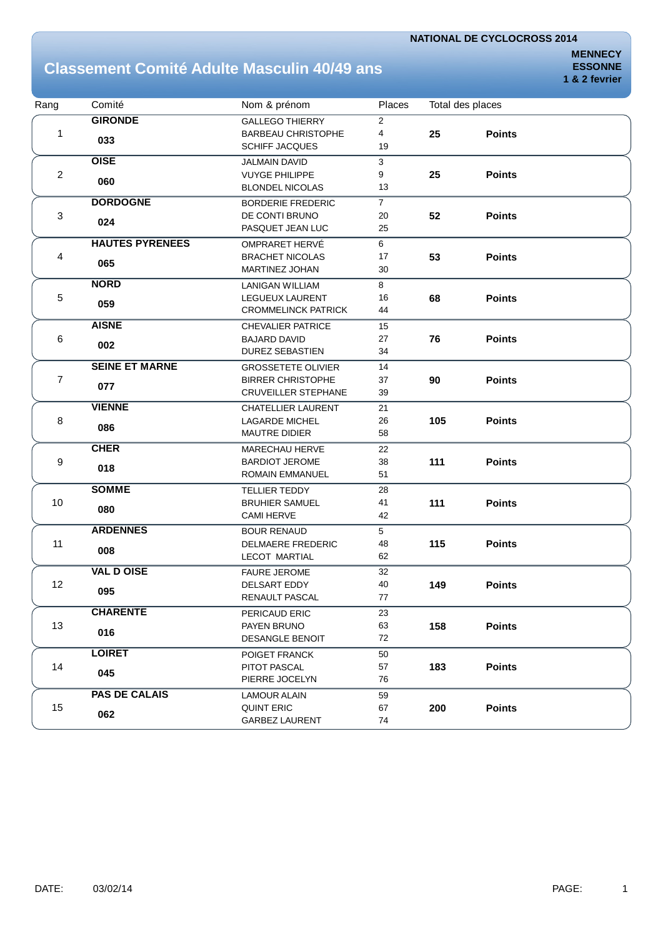# **Classement Comité Adulte Masculin 40/49 ans**

| Rang | Comité                 | Nom & prénom               | Places         |     | Total des places |  |
|------|------------------------|----------------------------|----------------|-----|------------------|--|
|      | <b>GIRONDE</b>         | <b>GALLEGO THIERRY</b>     | $\overline{2}$ |     |                  |  |
| 1    | 033                    | <b>BARBEAU CHRISTOPHE</b>  | 4              | 25  | <b>Points</b>    |  |
|      |                        | <b>SCHIFF JACQUES</b>      | 19             |     |                  |  |
|      | <b>OISE</b>            | <b>JALMAIN DAVID</b>       | 3              |     |                  |  |
| 2    | 060                    | <b>VUYGE PHILIPPE</b>      | 9              | 25  | <b>Points</b>    |  |
|      |                        | <b>BLONDEL NICOLAS</b>     | 13             |     |                  |  |
|      | <b>DORDOGNE</b>        | <b>BORDERIE FREDERIC</b>   | $\overline{7}$ |     |                  |  |
| 3    | 024                    | DE CONTI BRUNO             | 20             | 52  | <b>Points</b>    |  |
|      |                        | PASQUET JEAN LUC           | 25             |     |                  |  |
|      | <b>HAUTES PYRENEES</b> | OMPRARET HERVÉ             | 6              |     |                  |  |
| 4    | 065                    | <b>BRACHET NICOLAS</b>     | 17             | 53  | <b>Points</b>    |  |
|      |                        | MARTINEZ JOHAN             | 30             |     |                  |  |
|      | <b>NORD</b>            | <b>LANIGAN WILLIAM</b>     | 8              |     |                  |  |
| 5    | 059                    | LEGUEUX LAURENT            | 16             | 68  | <b>Points</b>    |  |
|      |                        | <b>CROMMELINCK PATRICK</b> | 44             |     |                  |  |
|      | <b>AISNE</b>           | <b>CHEVALIER PATRICE</b>   | 15             |     |                  |  |
| 6    | 002                    | <b>BAJARD DAVID</b>        | 27             | 76  | <b>Points</b>    |  |
|      |                        | <b>DUREZ SEBASTIEN</b>     | 34             |     |                  |  |
| 7    | <b>SEINE ET MARNE</b>  | <b>GROSSETETE OLIVIER</b>  | 14             |     |                  |  |
|      | 077                    | <b>BIRRER CHRISTOPHE</b>   | 37             | 90  | <b>Points</b>    |  |
|      |                        | <b>CRUVEILLER STEPHANE</b> | 39             |     |                  |  |
|      | <b>VIENNE</b>          | <b>CHATELLIER LAURENT</b>  | 21             |     |                  |  |
| 8    | 086                    | <b>LAGARDE MICHEL</b>      | 26             | 105 | <b>Points</b>    |  |
|      |                        | <b>MAUTRE DIDIER</b>       | 58             |     |                  |  |
|      | <b>CHER</b>            | MARECHAU HERVE             | 22             |     |                  |  |
| 9    | 018                    | <b>BARDIOT JEROME</b>      | 38             | 111 | <b>Points</b>    |  |
|      |                        | ROMAIN EMMANUEL            | 51             |     |                  |  |
|      | <b>SOMME</b>           | <b>TELLIER TEDDY</b>       | 28             |     |                  |  |
| 10   | 080                    | <b>BRUHIER SAMUEL</b>      | 41             | 111 | <b>Points</b>    |  |
|      |                        | <b>CAMI HERVE</b>          | 42             |     |                  |  |
|      | <b>ARDENNES</b>        | <b>BOUR RENAUD</b>         | 5              |     |                  |  |
| 11   | 008                    | <b>DELMAERE FREDERIC</b>   | 48             | 115 | <b>Points</b>    |  |
|      |                        | <b>LECOT MARTIAL</b>       | 62             |     |                  |  |
|      | <b>VAL D OISE</b>      | <b>FAURE JEROME</b>        | 32             |     |                  |  |
| 12   | 095                    | DELSART EDDY               | 40             | 149 | <b>Points</b>    |  |
|      |                        | RENAULT PASCAL             | $77 \,$        |     |                  |  |
|      | <b>CHARENTE</b>        | PERICAUD ERIC              | 23             |     |                  |  |
| 13   | 016                    | PAYEN BRUNO                | 63             | 158 | <b>Points</b>    |  |
|      |                        | <b>DESANGLE BENOIT</b>     | 72             |     |                  |  |
|      | <b>LOIRET</b>          | POIGET FRANCK              | 50             |     |                  |  |
| 14   | 045                    | PITOT PASCAL               | 57             | 183 | <b>Points</b>    |  |
|      |                        | PIERRE JOCELYN             | 76             |     |                  |  |
|      | <b>PAS DE CALAIS</b>   | <b>LAMOUR ALAIN</b>        | 59             |     |                  |  |
| 15   | 062                    | <b>QUINT ERIC</b>          | 67             | 200 | <b>Points</b>    |  |
|      |                        | <b>GARBEZ LAURENT</b>      | 74             |     |                  |  |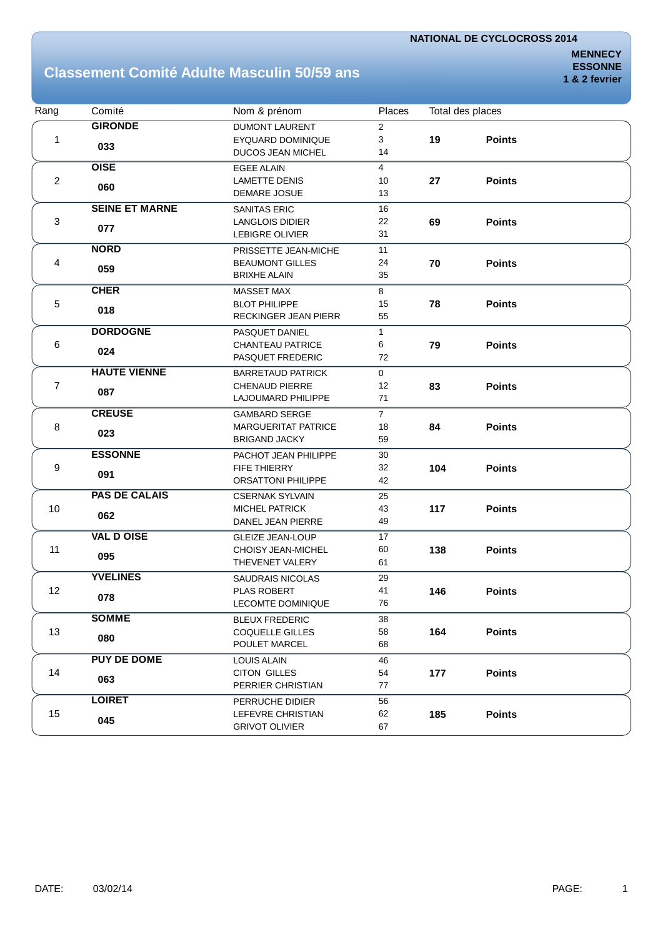## **Classement Comité Adulte Masculin 50/59 ans**

| Rang                      | Comité                | Nom & prénom               | Places         |     | Total des places |  |
|---------------------------|-----------------------|----------------------------|----------------|-----|------------------|--|
|                           | <b>GIRONDE</b>        | <b>DUMONT LAURENT</b>      | $\overline{2}$ |     |                  |  |
| 1                         |                       | <b>EYQUARD DOMINIQUE</b>   | 3              | 19  | <b>Points</b>    |  |
|                           | 033                   | <b>DUCOS JEAN MICHEL</b>   | 14             |     |                  |  |
|                           | <b>OISE</b>           | <b>EGEE ALAIN</b>          | $\overline{4}$ |     |                  |  |
| $\overline{c}$            | 060                   | <b>LAMETTE DENIS</b>       | 10             | 27  | <b>Points</b>    |  |
|                           |                       | <b>DEMARE JOSUE</b>        | 13             |     |                  |  |
|                           | <b>SEINE ET MARNE</b> | <b>SANITAS ERIC</b>        | 16             |     |                  |  |
| $\ensuremath{\mathsf{3}}$ | 077                   | <b>LANGLOIS DIDIER</b>     | 22             | 69  | <b>Points</b>    |  |
|                           |                       | LEBIGRE OLIVIER            | 31             |     |                  |  |
|                           | <b>NORD</b>           | PRISSETTE JEAN-MICHE       | 11             |     |                  |  |
| 4                         | 059                   | <b>BEAUMONT GILLES</b>     | 24             | 70  | <b>Points</b>    |  |
|                           |                       | <b>BRIXHE ALAIN</b>        | 35             |     |                  |  |
|                           | <b>CHER</b>           | <b>MASSET MAX</b>          | 8              |     |                  |  |
| $\,$ 5 $\,$               | 018                   | <b>BLOT PHILIPPE</b>       | 15             | 78  | <b>Points</b>    |  |
|                           |                       | RECKINGER JEAN PIERR       | 55             |     |                  |  |
|                           | <b>DORDOGNE</b>       | PASQUET DANIEL             | $\mathbf{1}$   |     |                  |  |
| 6                         | 024                   | <b>CHANTEAU PATRICE</b>    | 6              | 79  | <b>Points</b>    |  |
|                           |                       | PASQUET FREDERIC           | 72             |     |                  |  |
| $\overline{7}$            | <b>HAUTE VIENNE</b>   | <b>BARRETAUD PATRICK</b>   | $\mathbf{0}$   |     |                  |  |
|                           | 087                   | <b>CHENAUD PIERRE</b>      | 12             | 83  | <b>Points</b>    |  |
|                           |                       | LAJOUMARD PHILIPPE         | 71             |     |                  |  |
|                           | <b>CREUSE</b>         | <b>GAMBARD SERGE</b>       | $\overline{7}$ |     |                  |  |
| 8                         | 023                   | <b>MARGUERITAT PATRICE</b> | 18             | 84  | <b>Points</b>    |  |
|                           |                       | <b>BRIGAND JACKY</b>       | 59             |     |                  |  |
|                           | <b>ESSONNE</b>        | PACHOT JEAN PHILIPPE       | 30             |     |                  |  |
| 9                         | 091                   | <b>FIFE THIERRY</b>        | 32             | 104 | <b>Points</b>    |  |
|                           |                       | <b>ORSATTONI PHILIPPE</b>  | 42             |     |                  |  |
|                           | <b>PAS DE CALAIS</b>  | <b>CSERNAK SYLVAIN</b>     | 25             |     |                  |  |
| 10                        | 062                   | <b>MICHEL PATRICK</b>      | 43             | 117 | <b>Points</b>    |  |
|                           |                       | DANEL JEAN PIERRE          | 49             |     |                  |  |
|                           | <b>VAL D OISE</b>     | <b>GLEIZE JEAN-LOUP</b>    | 17             |     |                  |  |
| 11                        | 095                   | <b>CHOISY JEAN-MICHEL</b>  | 60             | 138 | <b>Points</b>    |  |
|                           |                       | THEVENET VALERY            | 61             |     |                  |  |
|                           | <b>YVELINES</b>       | <b>SAUDRAIS NICOLAS</b>    | 29             |     |                  |  |
| 12                        |                       | <b>PLAS ROBERT</b>         | 41             | 146 | <b>Points</b>    |  |
|                           | 078                   | LECOMTE DOMINIQUE          | 76             |     |                  |  |
|                           | <b>SOMME</b>          | <b>BLEUX FREDERIC</b>      | 38             |     |                  |  |
| 13                        | 080                   | <b>COQUELLE GILLES</b>     | 58             | 164 | <b>Points</b>    |  |
|                           |                       | POULET MARCEL              | 68             |     |                  |  |
|                           | <b>PUY DE DOME</b>    | <b>LOUIS ALAIN</b>         | 46             |     |                  |  |
| 14                        |                       | <b>CITON GILLES</b>        | 54             | 177 | <b>Points</b>    |  |
|                           | 063                   | PERRIER CHRISTIAN          | 77             |     |                  |  |
|                           | <b>LOIRET</b>         | PERRUCHE DIDIER            | 56             |     |                  |  |
| 15                        |                       | LEFEVRE CHRISTIAN          | 62             | 185 | <b>Points</b>    |  |
|                           | 045                   | <b>GRIVOT OLIVIER</b>      | 67             |     |                  |  |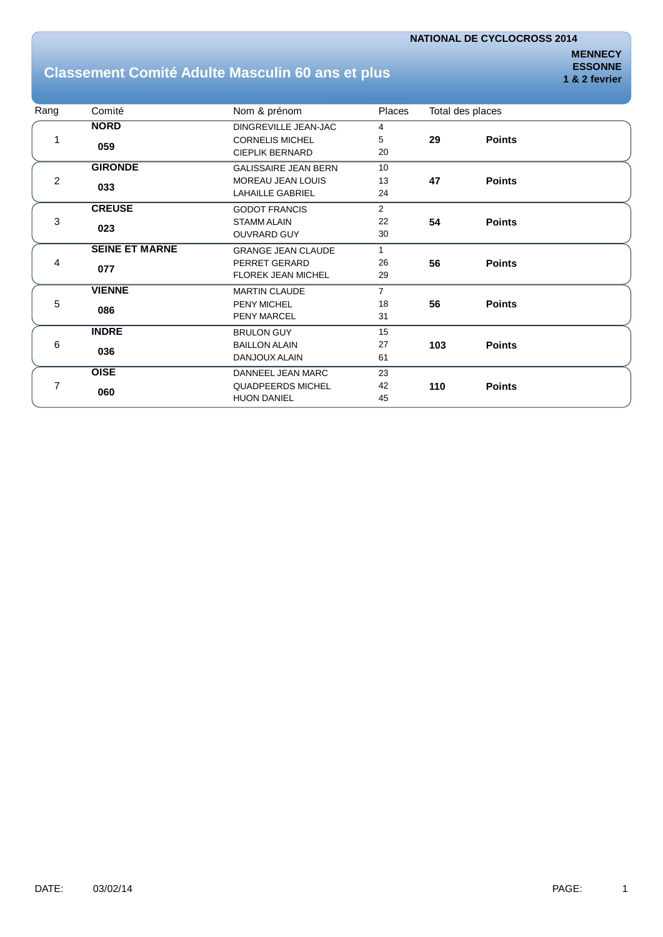## **Classement Comité Adulte Masculin 60 ans et plus**

**MENNECY ESSONNE 1 & 2 fevrier**

| Rang           | Comité                | Nom & prénom                | <b>Places</b>  |     | Total des places |  |
|----------------|-----------------------|-----------------------------|----------------|-----|------------------|--|
|                | <b>NORD</b>           | DINGREVILLE JEAN-JAC        | 4              |     |                  |  |
|                | 059                   | <b>CORNELIS MICHEL</b>      | 5              | 29  | <b>Points</b>    |  |
|                |                       | <b>CIEPLIK BERNARD</b>      | 20             |     |                  |  |
|                | <b>GIRONDE</b>        | <b>GALISSAIRE JEAN BERN</b> | 10             |     |                  |  |
| $\overline{c}$ | 033                   | MOREAU JEAN LOUIS           | 13             | 47  | <b>Points</b>    |  |
|                |                       | <b>LAHAILLE GABRIEL</b>     | 24             |     |                  |  |
| 3<br>023       | <b>CREUSE</b>         | <b>GODOT FRANCIS</b>        | $\overline{2}$ |     |                  |  |
|                |                       | <b>STAMM ALAIN</b>          | 22             | 54  | <b>Points</b>    |  |
|                |                       | <b>OUVRARD GUY</b>          | 30             |     |                  |  |
|                | <b>SEINE ET MARNE</b> | <b>GRANGE JEAN CLAUDE</b>   | 1              |     |                  |  |
| 4              | 077                   | PERRET GERARD               | 26             | 56  | <b>Points</b>    |  |
|                |                       | <b>FLOREK JEAN MICHEL</b>   | 29             |     |                  |  |
|                | <b>VIENNE</b>         | <b>MARTIN CLAUDE</b>        | $\overline{7}$ |     |                  |  |
| 5              | 086                   | <b>PENY MICHEL</b>          | 18             | 56  | <b>Points</b>    |  |
|                |                       | <b>PENY MARCEL</b>          | 31             |     |                  |  |
|                | <b>INDRE</b>          | <b>BRULON GUY</b>           | 15             |     |                  |  |
| 6              | 036                   | <b>BAILLON ALAIN</b>        | 27             | 103 | <b>Points</b>    |  |
|                |                       | DANJOUX ALAIN               | 61             |     |                  |  |
|                | <b>OISE</b>           | DANNEEL JEAN MARC           | 23             |     |                  |  |
| 7              | 060                   | <b>QUADPEERDS MICHEL</b>    | 42             | 110 | <b>Points</b>    |  |
|                |                       | <b>HUON DANIEL</b>          | 45             |     |                  |  |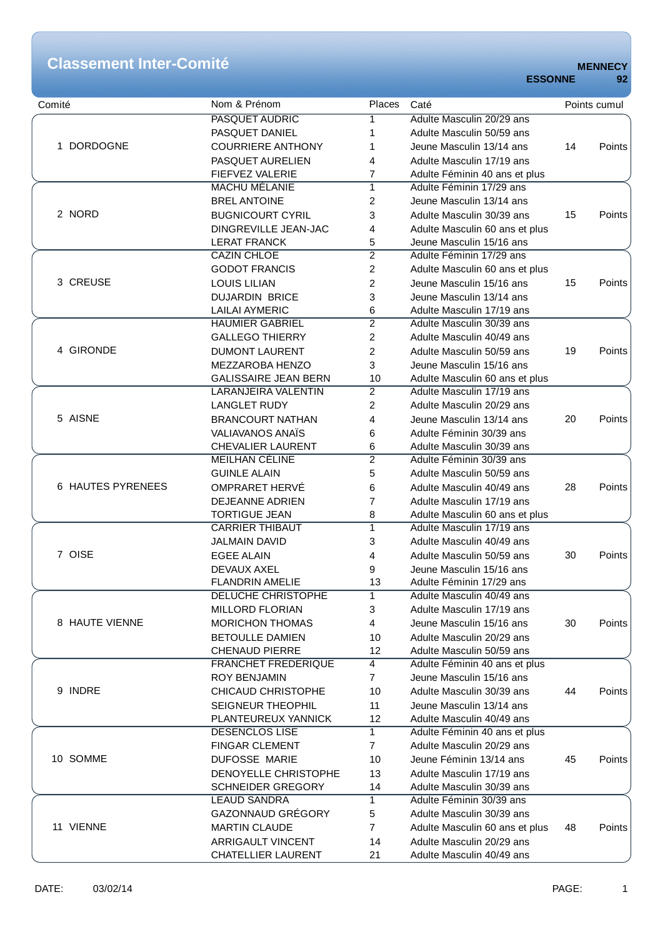# **Classement Inter-Comité MENNECY**

|  | 92 |  |
|--|----|--|
|  |    |  |

| Comité            | Nom & Prénom                | Places         | Caté                           |    | Points cumul |
|-------------------|-----------------------------|----------------|--------------------------------|----|--------------|
| 1 DORDOGNE        | <b>PASQUET AUDRIC</b>       | 1              | Adulte Masculin 20/29 ans      |    |              |
|                   | PASQUET DANIEL              | 1              | Adulte Masculin 50/59 ans      |    |              |
|                   | <b>COURRIERE ANTHONY</b>    | 1              | Jeune Masculin 13/14 ans       | 14 | Points       |
|                   | PASQUET AURELIEN            | 4              | Adulte Masculin 17/19 ans      |    |              |
|                   | FIEFVEZ VALERIE             | 7              | Adulte Féminin 40 ans et plus  |    |              |
|                   | <b>MACHU MÉLANIE</b>        | 1              | Adulte Féminin 17/29 ans       |    |              |
| 2 NORD            | <b>BREL ANTOINE</b>         | 2              | Jeune Masculin 13/14 ans       |    |              |
|                   | <b>BUGNICOURT CYRIL</b>     | 3              | Adulte Masculin 30/39 ans      | 15 | Points       |
|                   | DINGREVILLE JEAN-JAC        | 4              | Adulte Masculin 60 ans et plus |    |              |
|                   | <b>LERAT FRANCK</b>         | 5              | Jeune Masculin 15/16 ans       |    |              |
|                   | <b>CAZIN CHLOE</b>          | $\overline{2}$ | Adulte Féminin 17/29 ans       |    |              |
|                   | <b>GODOT FRANCIS</b>        | 2              | Adulte Masculin 60 ans et plus |    |              |
| 3 CREUSE          | <b>LOUIS LILIAN</b>         | 2              | Jeune Masculin 15/16 ans       | 15 | Points       |
|                   | <b>DUJARDIN BRICE</b>       |                | Jeune Masculin 13/14 ans       |    |              |
|                   | <b>LAILAI AYMERIC</b>       | 3<br>6         | Adulte Masculin 17/19 ans      |    |              |
|                   | <b>HAUMIER GABRIEL</b>      | $\overline{2}$ | Adulte Masculin 30/39 ans      |    |              |
|                   |                             |                |                                |    |              |
|                   | <b>GALLEGO THIERRY</b>      | $\overline{c}$ | Adulte Masculin 40/49 ans      |    |              |
| 4 GIRONDE         | <b>DUMONT LAURENT</b>       | 2              | Adulte Masculin 50/59 ans      | 19 | Points       |
|                   | MEZZAROBA HENZO             | 3              | Jeune Masculin 15/16 ans       |    |              |
|                   | <b>GALISSAIRE JEAN BERN</b> | 10             | Adulte Masculin 60 ans et plus |    |              |
|                   | <b>LARANJEIRA VALENTIN</b>  | 2              | Adulte Masculin 17/19 ans      |    |              |
|                   | <b>LANGLET RUDY</b>         | 2              | Adulte Masculin 20/29 ans      |    |              |
| 5 AISNE           | <b>BRANCOURT NATHAN</b>     | 4              | Jeune Masculin 13/14 ans       | 20 | Points       |
|                   | <b>VALIAVANOS ANAÏS</b>     | 6              | Adulte Féminin 30/39 ans       |    |              |
|                   | <b>CHEVALIER LAURENT</b>    | 6              | Adulte Masculin 30/39 ans      |    |              |
|                   | <b>MEILHAN CÉLINE</b>       | $\overline{2}$ | Adulte Féminin 30/39 ans       |    |              |
|                   | <b>GUINLE ALAIN</b>         | 5              | Adulte Masculin 50/59 ans      |    |              |
| 6 HAUTES PYRENEES | OMPRARET HERVÉ              | 6              | Adulte Masculin 40/49 ans      | 28 | Points       |
|                   | DEJEANNE ADRIEN             | 7              | Adulte Masculin 17/19 ans      |    |              |
|                   | <b>TORTIGUE JEAN</b>        | 8              | Adulte Masculin 60 ans et plus |    |              |
|                   | <b>CARRIER THIBAUT</b>      | $\overline{1}$ | Adulte Masculin 17/19 ans      |    |              |
|                   | <b>JALMAIN DAVID</b>        | 3              | Adulte Masculin 40/49 ans      |    |              |
| 7 OISE            | <b>EGEE ALAIN</b>           | 4              | Adulte Masculin 50/59 ans      | 30 | Points       |
|                   | <b>DEVAUX AXEL</b>          | 9              | Jeune Masculin 15/16 ans       |    |              |
|                   | <b>FLANDRIN AMELIE</b>      | 13             | Adulte Féminin 17/29 ans       |    |              |
|                   | <b>DELUCHE CHRISTOPHE</b>   | $\mathbf{1}$   | Adulte Masculin 40/49 ans      |    |              |
| 8 HAUTE VIENNE    | <b>MILLORD FLORIAN</b>      | 3              | Adulte Masculin 17/19 ans      |    |              |
|                   | <b>MORICHON THOMAS</b>      | 4              | Jeune Masculin 15/16 ans       | 30 | Points       |
|                   | <b>BETOULLE DAMIEN</b>      | 10             | Adulte Masculin 20/29 ans      |    |              |
|                   | <b>CHENAUD PIERRE</b>       | 12             | Adulte Masculin 50/59 ans      |    |              |
|                   |                             | $\overline{4}$ | Adulte Féminin 40 ans et plus  |    |              |
| 9 INDRE           | <b>FRANCHET FREDERIQUE</b>  |                |                                |    |              |
|                   | <b>ROY BENJAMIN</b>         | $\overline{7}$ | Jeune Masculin 15/16 ans       |    |              |
|                   | CHICAUD CHRISTOPHE          | 10             | Adulte Masculin 30/39 ans      | 44 | Points       |
|                   | SEIGNEUR THEOPHIL           | 11             | Jeune Masculin 13/14 ans       |    |              |
|                   | PLANTEUREUX YANNICK         | 12             | Adulte Masculin 40/49 ans      |    |              |
| 10 SOMME          | <b>DESENCLOS LISE</b>       | $\mathbf{1}$   | Adulte Féminin 40 ans et plus  |    |              |
|                   | <b>FINGAR CLEMENT</b>       | $\overline{7}$ | Adulte Masculin 20/29 ans      |    |              |
|                   | DUFOSSE MARIE               | 10             | Jeune Féminin 13/14 ans        | 45 | Points       |
|                   | DENOYELLE CHRISTOPHE        | 13             | Adulte Masculin 17/19 ans      |    |              |
|                   | <b>SCHNEIDER GREGORY</b>    | 14             | Adulte Masculin 30/39 ans      |    |              |
| 11 VIENNE         | <b>LEAUD SANDRA</b>         | 1              | Adulte Féminin 30/39 ans       |    |              |
|                   | GAZONNAUD GRÉGORY           | 5              | Adulte Masculin 30/39 ans      |    |              |
|                   | <b>MARTIN CLAUDE</b>        | $\overline{7}$ | Adulte Masculin 60 ans et plus | 48 | Points       |
|                   | <b>ARRIGAULT VINCENT</b>    | 14             | Adulte Masculin 20/29 ans      |    |              |
|                   | <b>CHATELLIER LAURENT</b>   | 21             | Adulte Masculin 40/49 ans      |    |              |